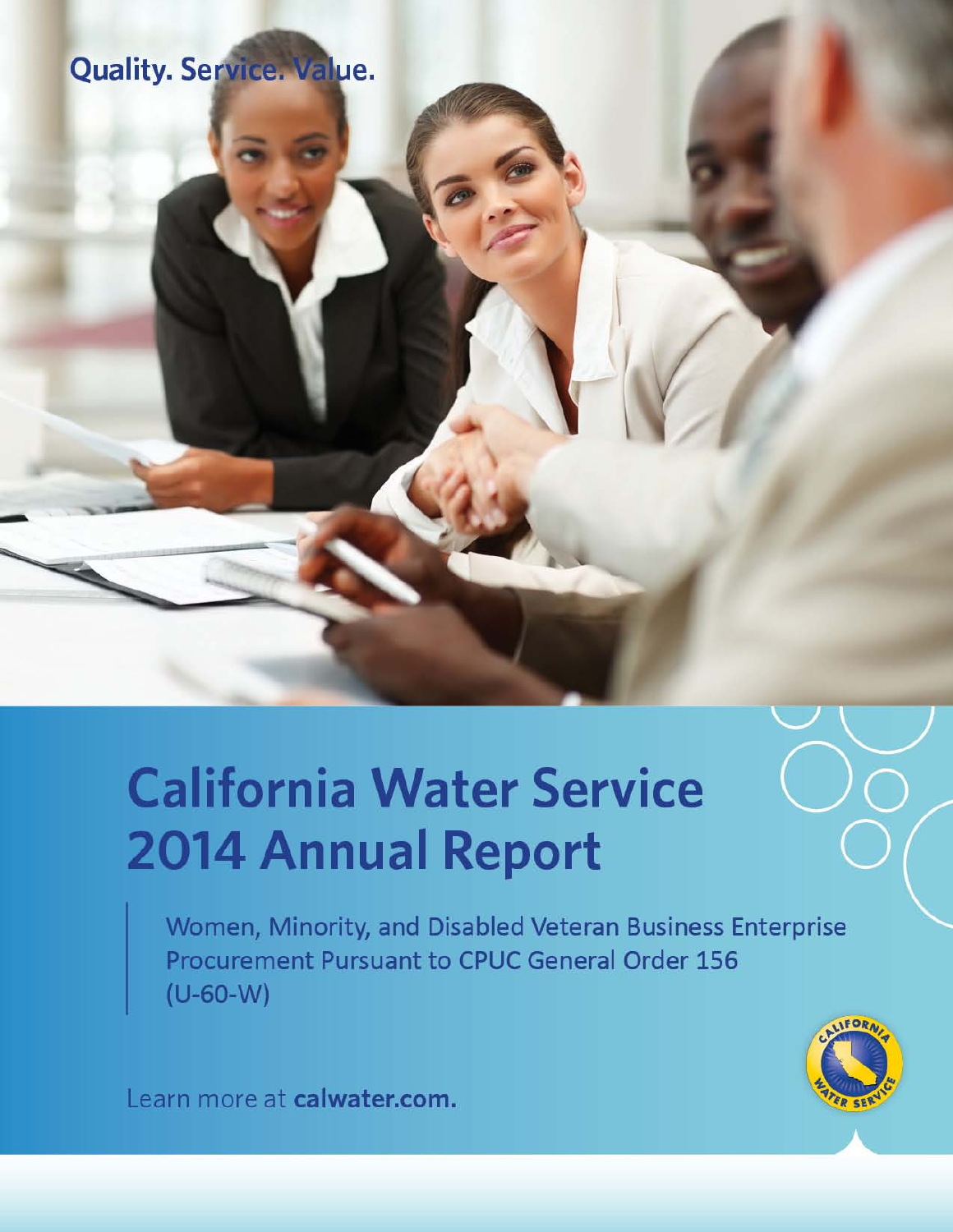# **Quality. Service. Value.**

# **California Water Service 2014 Annual Report**

Women, Minority, and Disabled Veteran Business Enterprise **Procurement Pursuant to CPUC General Order 156**  $(U-60-W)$ 



Learn more at calwater.com.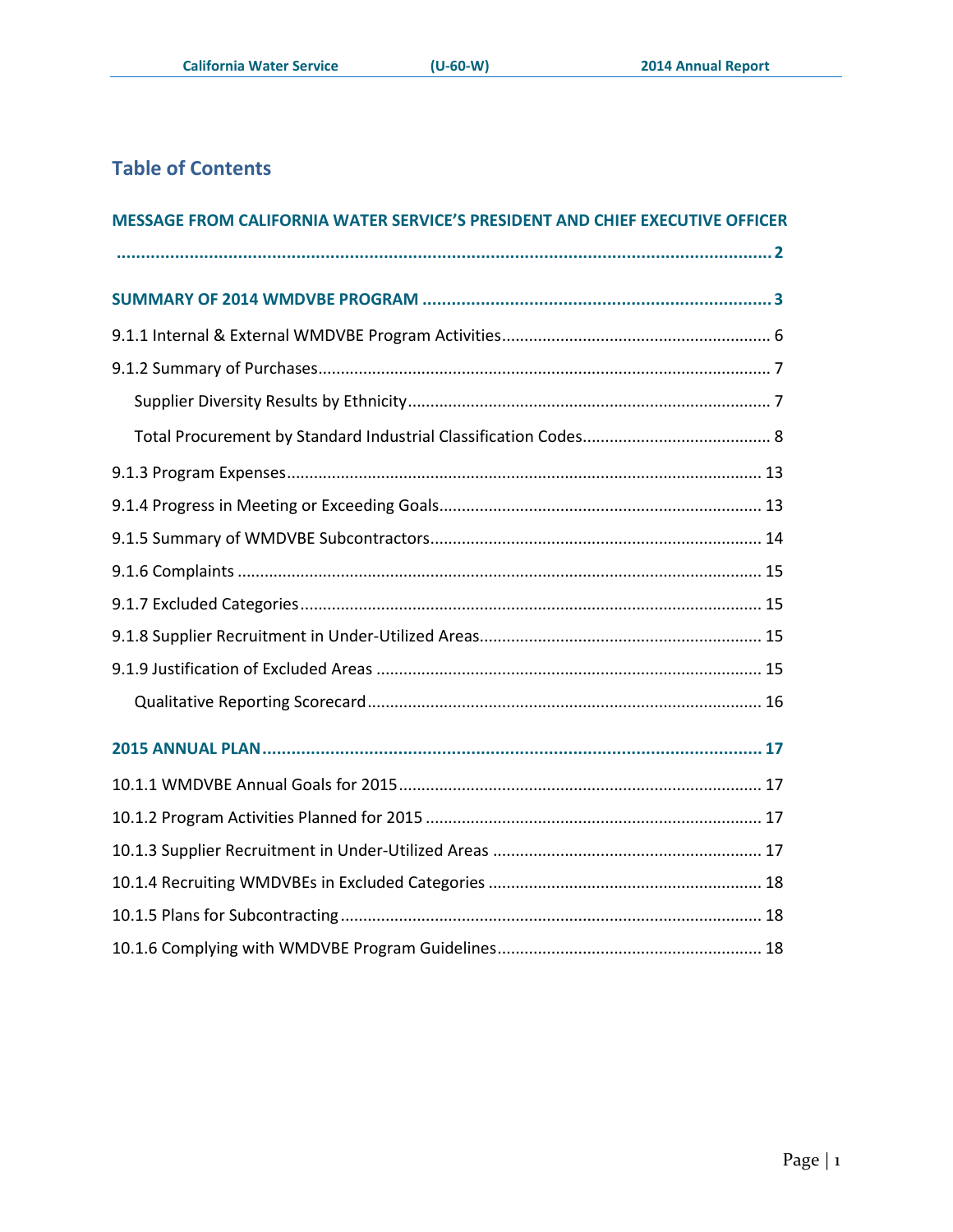# **Table of Contents**

| MESSAGE FROM CALIFORNIA WATER SERVICE'S PRESIDENT AND CHIEF EXECUTIVE OFFICER |
|-------------------------------------------------------------------------------|
|                                                                               |
|                                                                               |
|                                                                               |
|                                                                               |
|                                                                               |
|                                                                               |
|                                                                               |
|                                                                               |
|                                                                               |
|                                                                               |
|                                                                               |
|                                                                               |
|                                                                               |
|                                                                               |
|                                                                               |
|                                                                               |
|                                                                               |
|                                                                               |
|                                                                               |
|                                                                               |
|                                                                               |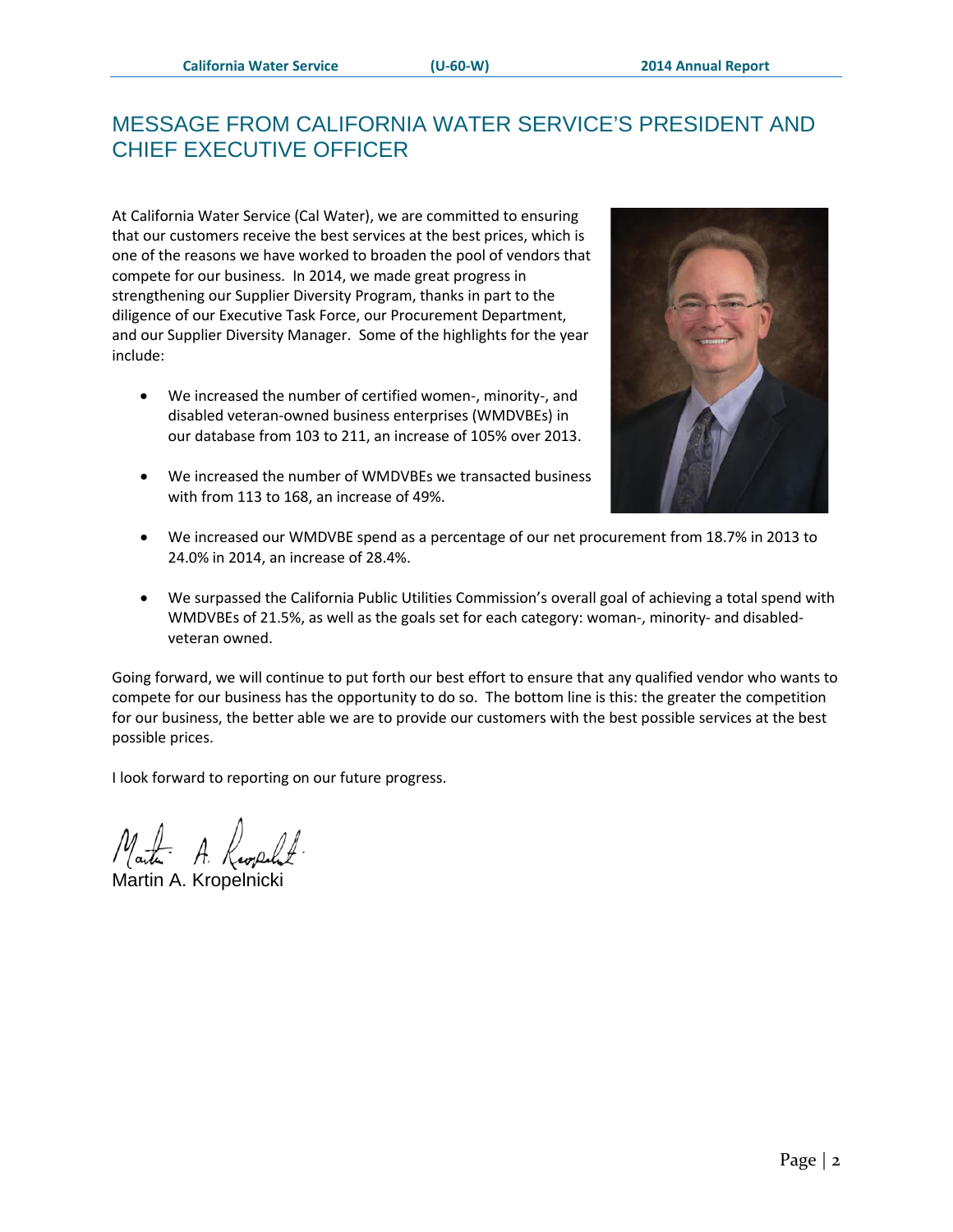## <span id="page-2-0"></span>MESSAGE FROM CALIFORNIA WATER SERVICE'S PRESIDENT AND CHIEF EXECUTIVE OFFICER

At California Water Service (Cal Water), we are committed to ensuring that our customers receive the best services at the best prices, which is one of the reasons we have worked to broaden the pool of vendors that compete for our business. In 2014, we made great progress in strengthening our Supplier Diversity Program, thanks in part to the diligence of our Executive Task Force, our Procurement Department, and our Supplier Diversity Manager. Some of the highlights for the year include:

- We increased the number of certified women-, minority-, and disabled veteran-owned business enterprises (WMDVBEs) in our database from 103 to 211, an increase of 105% over 2013.
- We increased the number of WMDVBEs we transacted business with from 113 to 168, an increase of 49%.



- We increased our WMDVBE spend as a percentage of our net procurement from 18.7% in 2013 to 24.0% in 2014, an increase of 28.4%.
- We surpassed the California Public Utilities Commission's overall goal of achieving a total spend with WMDVBEs of 21.5%, as well as the goals set for each category: woman-, minority- and disabledveteran owned.

Going forward, we will continue to put forth our best effort to ensure that any qualified vendor who wants to compete for our business has the opportunity to do so. The bottom line is this: the greater the competition for our business, the better able we are to provide our customers with the best possible services at the best possible prices.

I look forward to reporting on our future progress.

Martin A. Kropelnicki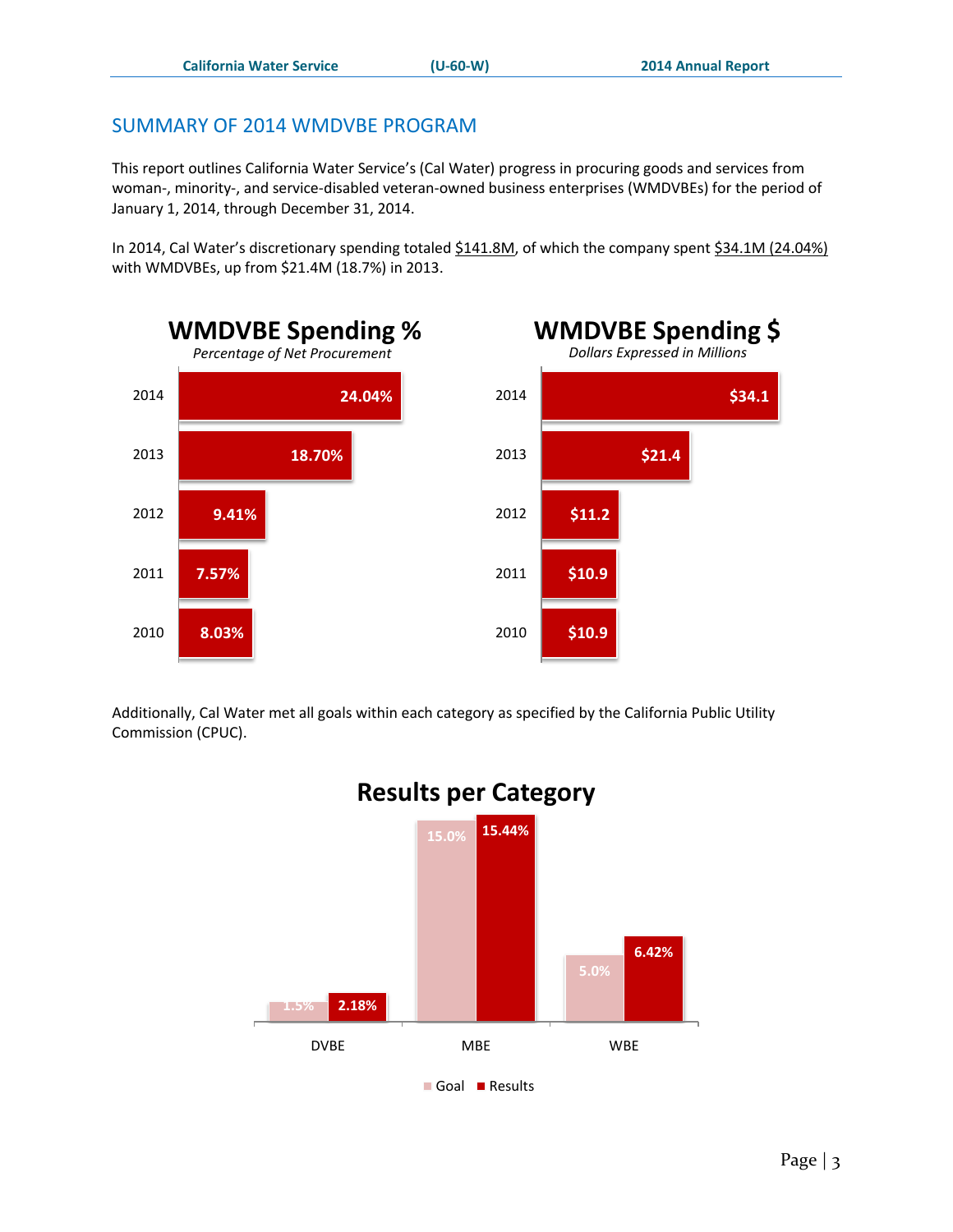## <span id="page-3-0"></span>SUMMARY OF 2014 WMDVBE PROGRAM

This report outlines California Water Service's (Cal Water) progress in procuring goods and services from woman-, minority-, and service-disabled veteran-owned business enterprises (WMDVBEs) for the period of January 1, 2014, through December 31, 2014.

In 2014, Cal Water's discretionary spending totaled \$141.8M, of which the company spent \$34.1M (24.04%) with WMDVBEs, up from \$21.4M (18.7%) in 2013.



Additionally, Cal Water met all goals within each category as specified by the California Public Utility Commission (CPUC).



# **Results per Category**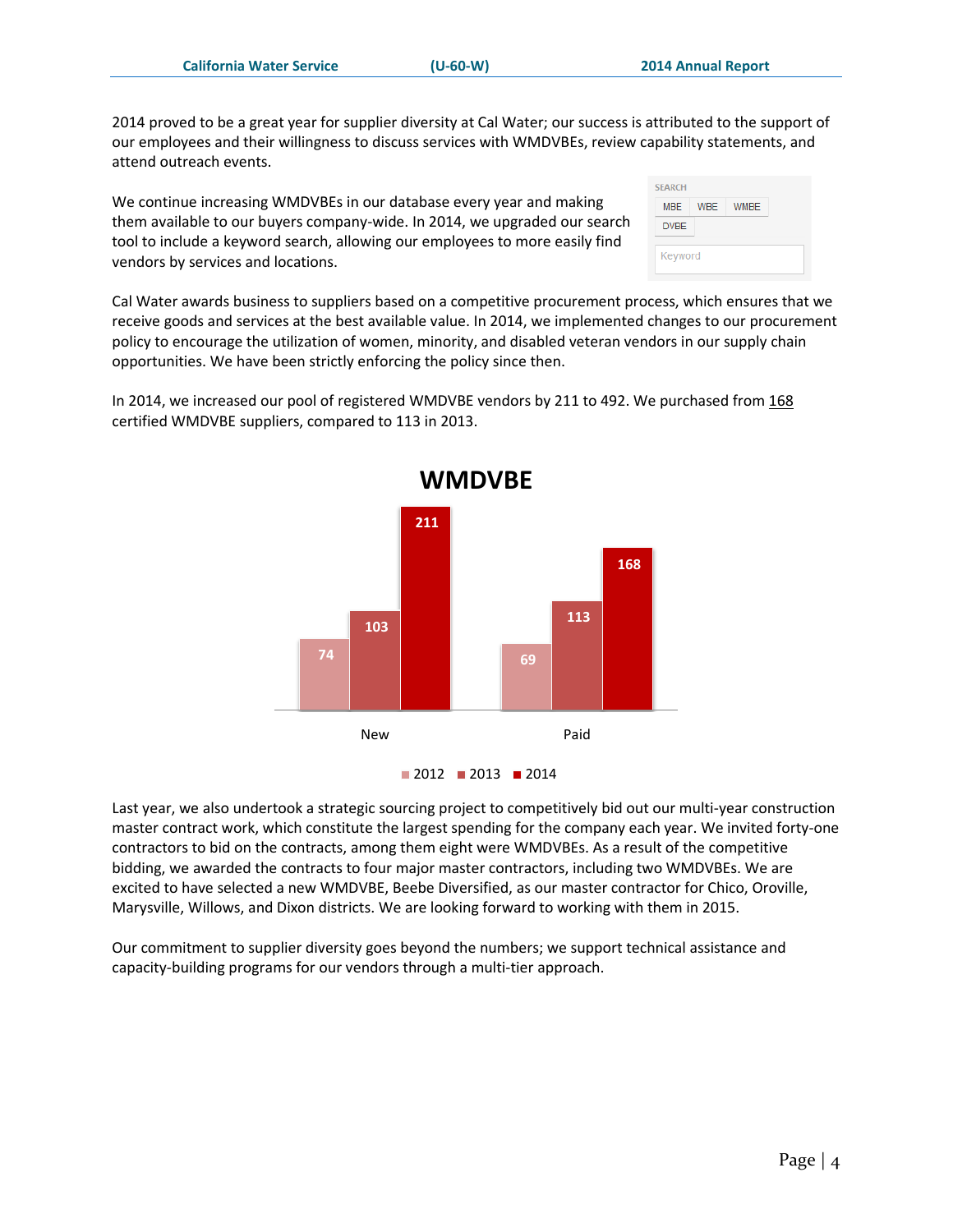2014 proved to be a great year for supplier diversity at Cal Water; our success is attributed to the support of our employees and their willingness to discuss services with WMDVBEs, review capability statements, and attend outreach events.

We continue increasing WMDVBEs in our database every year and making them available to our buyers company-wide. In 2014, we upgraded our search tool to include a keyword search, allowing our employees to more easily find vendors by services and locations.

Cal Water awards business to suppliers based on a competitive procurement process, which ensures that we receive goods and services at the best available value. In 2014, we implemented changes to our procurement policy to encourage the utilization of women, minority, and disabled veteran vendors in our supply chain opportunities. We have been strictly enforcing the policy since then.

In 2014, we increased our pool of registered WMDVBE vendors by 211 to 492. We purchased from 168 certified WMDVBE suppliers, compared to 113 in 2013.



Last year, we also undertook a strategic sourcing project to competitively bid out our multi-year construction master contract work, which constitute the largest spending for the company each year. We invited forty-one contractors to bid on the contracts, among them eight were WMDVBEs. As a result of the competitive bidding, we awarded the contracts to four major master contractors, including two WMDVBEs. We are excited to have selected a new WMDVBE, Beebe Diversified, as our master contractor for Chico, Oroville, Marysville, Willows, and Dixon districts. We are looking forward to working with them in 2015.

Our commitment to supplier diversity goes beyond the numbers; we support technical assistance and capacity-building programs for our vendors through a multi-tier approach.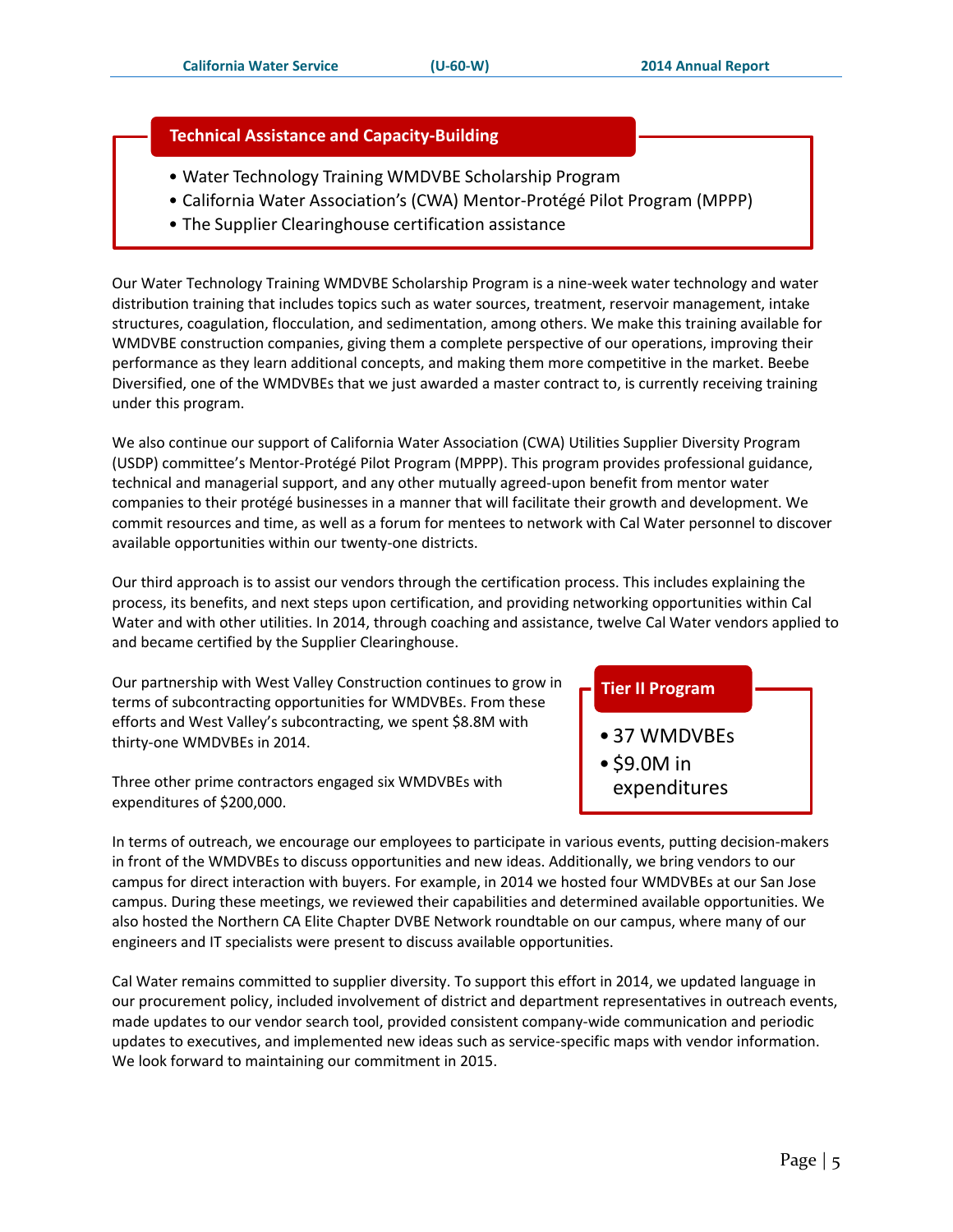#### **Technical Assistance and Capacity-Building**

- Water Technology Training WMDVBE Scholarship Program
- California Water Association's (CWA) Mentor-Protégé Pilot Program (MPPP)
- The Supplier Clearinghouse certification assistance

Our Water Technology Training WMDVBE Scholarship Program is a nine-week water technology and water distribution training that includes topics such as water sources, treatment, reservoir management, intake structures, coagulation, flocculation, and sedimentation, among others. We make this training available for WMDVBE construction companies, giving them a complete perspective of our operations, improving their performance as they learn additional concepts, and making them more competitive in the market. Beebe Diversified, one of the WMDVBEs that we just awarded a master contract to, is currently receiving training under this program.

We also continue our support of California Water Association (CWA) Utilities Supplier Diversity Program (USDP) committee's Mentor-Protégé Pilot Program (MPPP). This program provides professional guidance, technical and managerial support, and any other mutually agreed-upon benefit from mentor water companies to their protégé businesses in a manner that will facilitate their growth and development. We commit resources and time, as well as a forum for mentees to network with Cal Water personnel to discover available opportunities within our twenty-one districts.

Our third approach is to assist our vendors through the certification process. This includes explaining the process, its benefits, and next steps upon certification, and providing networking opportunities within Cal Water and with other utilities. In 2014, through coaching and assistance, twelve Cal Water vendors applied to and became certified by the Supplier Clearinghouse.

Our partnership with West Valley Construction continues to grow in terms of subcontracting opportunities for WMDVBEs. From these efforts and West Valley's subcontracting, we spent \$8.8M with thirty-one WMDVBEs in 2014.

Three other prime contractors engaged six WMDVBEs with expenditures of \$200,000.

In terms of outreach, we encourage our employees to participate in various events, putting decision-makers in front of the WMDVBEs to discuss opportunities and new ideas. Additionally, we bring vendors to our campus for direct interaction with buyers. For example, in 2014 we hosted four WMDVBEs at our San Jose campus. During these meetings, we reviewed their capabilities and determined available opportunities. We also hosted the Northern CA Elite Chapter DVBE Network roundtable on our campus, where many of our engineers and IT specialists were present to discuss available opportunities.

Cal Water remains committed to supplier diversity. To support this effort in 2014, we updated language in our procurement policy, included involvement of district and department representatives in outreach events, made updates to our vendor search tool, provided consistent company-wide communication and periodic updates to executives, and implemented new ideas such as service-specific maps with vendor information. We look forward to maintaining our commitment in 2015.

#### **Tier II Program**

- 37 WMDVBEs
- \$9.0M in
- expenditures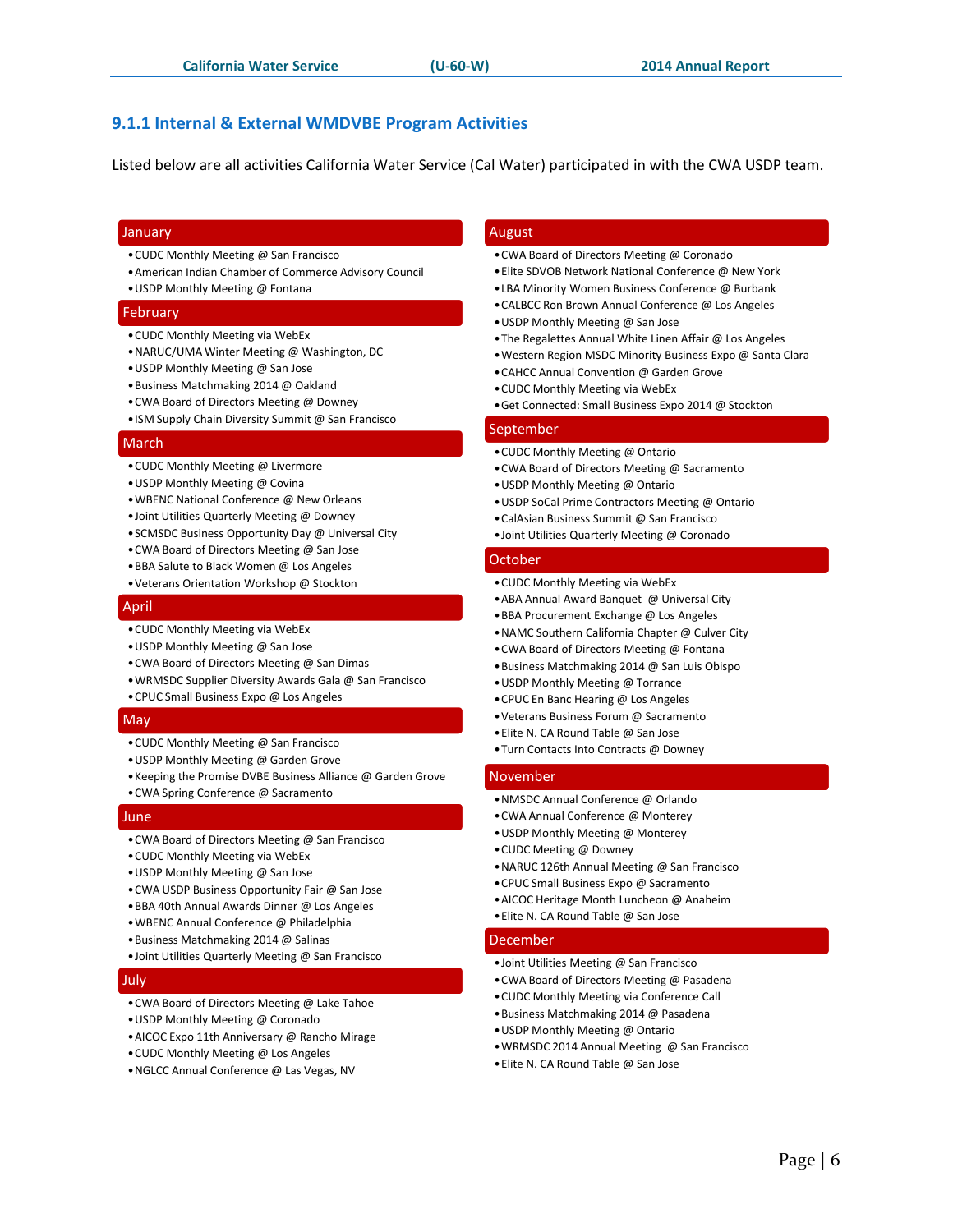#### <span id="page-6-0"></span>**9.1.1 Internal & External WMDVBE Program Activities**

Listed below are all activities California Water Service (Cal Water) participated in with the CWA USDP team.

#### January

- •CUDC Monthly Meeting @ San Francisco
- •American Indian Chamber of Commerce Advisory Council
- •USDP Monthly Meeting @ Fontana

#### February

- •CUDC Monthly Meeting via WebEx
- •NARUC/UMA Winter Meeting @ Washington, DC
- •USDP Monthly Meeting @ San Jose
- •Business Matchmaking 2014 @ Oakland
- •CWA Board of Directors Meeting @ Downey
- •ISM Supply Chain Diversity Summit @ San Francisco

#### March

- •CUDC Monthly Meeting @ Livermore
- •USDP Monthly Meeting @ Covina
- •WBENC National Conference @ New Orleans
- •Joint Utilities Quarterly Meeting @ Downey
- •SCMSDC Business Opportunity Day @ Universal City
- •CWA Board of Directors Meeting @ San Jose
- •BBA Salute to Black Women @ Los Angeles
- •Veterans Orientation Workshop @ Stockton

#### April

- •CUDC Monthly Meeting via WebEx
- •USDP Monthly Meeting @ San Jose
- •CWA Board of Directors Meeting @ San Dimas
- •WRMSDC Supplier Diversity Awards Gala @ San Francisco
- •CPUC Small Business Expo @ Los Angeles

#### May

- •CUDC Monthly Meeting @ San Francisco
- •USDP Monthly Meeting @ Garden Grove
- •Keeping the Promise DVBE Business Alliance @ Garden Grove
- •CWA Spring Conference @ Sacramento

#### June

- •CWA Board of Directors Meeting @ San Francisco
- •CUDC Monthly Meeting via WebEx
- •USDP Monthly Meeting @ San Jose
- •CWA USDP Business Opportunity Fair @ San Jose
- •BBA 40th Annual Awards Dinner @ Los Angeles
- •WBENC Annual Conference @ Philadelphia
- •Business Matchmaking 2014 @ Salinas
- •Joint Utilities Quarterly Meeting @ San Francisco

#### July

- •CWA Board of Directors Meeting @ Lake Tahoe
- •USDP Monthly Meeting @ Coronado
- •AICOC Expo 11th Anniversary @ Rancho Mirage
- •CUDC Monthly Meeting @ Los Angeles
- •NGLCC Annual Conference @ Las Vegas, NV

#### August

- •CWA Board of Directors Meeting @ Coronado
- •Elite SDVOB Network National Conference @ New York
- •LBA Minority Women Business Conference @ Burbank
- •CALBCC Ron Brown Annual Conference @ Los Angeles
- •USDP Monthly Meeting @ San Jose
- •The Regalettes Annual White Linen Affair @ Los Angeles
- •Western Region MSDC Minority Business Expo @ Santa Clara
- •CAHCC Annual Convention @ Garden Grove
- •CUDC Monthly Meeting via WebEx
- •Get Connected: Small Business Expo 2014 @ Stockton

#### September

- •CUDC Monthly Meeting @ Ontario
- •CWA Board of Directors Meeting @ Sacramento
- •USDP Monthly Meeting @ Ontario
- •USDP SoCal Prime Contractors Meeting @ Ontario
- •CalAsian Business Summit @ San Francisco
- •Joint Utilities Quarterly Meeting @ Coronado

#### October

- •CUDC Monthly Meeting via WebEx
- •ABA Annual Award Banquet @ Universal City
- •BBA Procurement Exchange @ Los Angeles
- •NAMC Southern California Chapter @ Culver City
- •CWA Board of Directors Meeting @ Fontana
- •Business Matchmaking 2014 @ San Luis Obispo
- •USDP Monthly Meeting @ Torrance
- •CPUC En Banc Hearing @ Los Angeles
- •Veterans Business Forum @ Sacramento
- •Elite N. CA Round Table @ San Jose
- •Turn Contacts Into Contracts @ Downey

#### November

- •NMSDC Annual Conference @ Orlando
- •CWA Annual Conference @ Monterey
- •USDP Monthly Meeting @ Monterey
- •CUDC Meeting @ Downey
- •NARUC 126th Annual Meeting @ San Francisco
- •CPUC Small Business Expo @ Sacramento
- •AICOC Heritage Month Luncheon @ Anaheim
- •Elite N. CA Round Table @ San Jose

#### December

- •Joint Utilities Meeting @ San Francisco
- •CWA Board of Directors Meeting @ Pasadena
- •CUDC Monthly Meeting via Conference Call
- •Business Matchmaking 2014 @ Pasadena
- •USDP Monthly Meeting @ Ontario
- •WRMSDC 2014 Annual Meeting @ San Francisco
- •Elite N. CA Round Table @ San Jose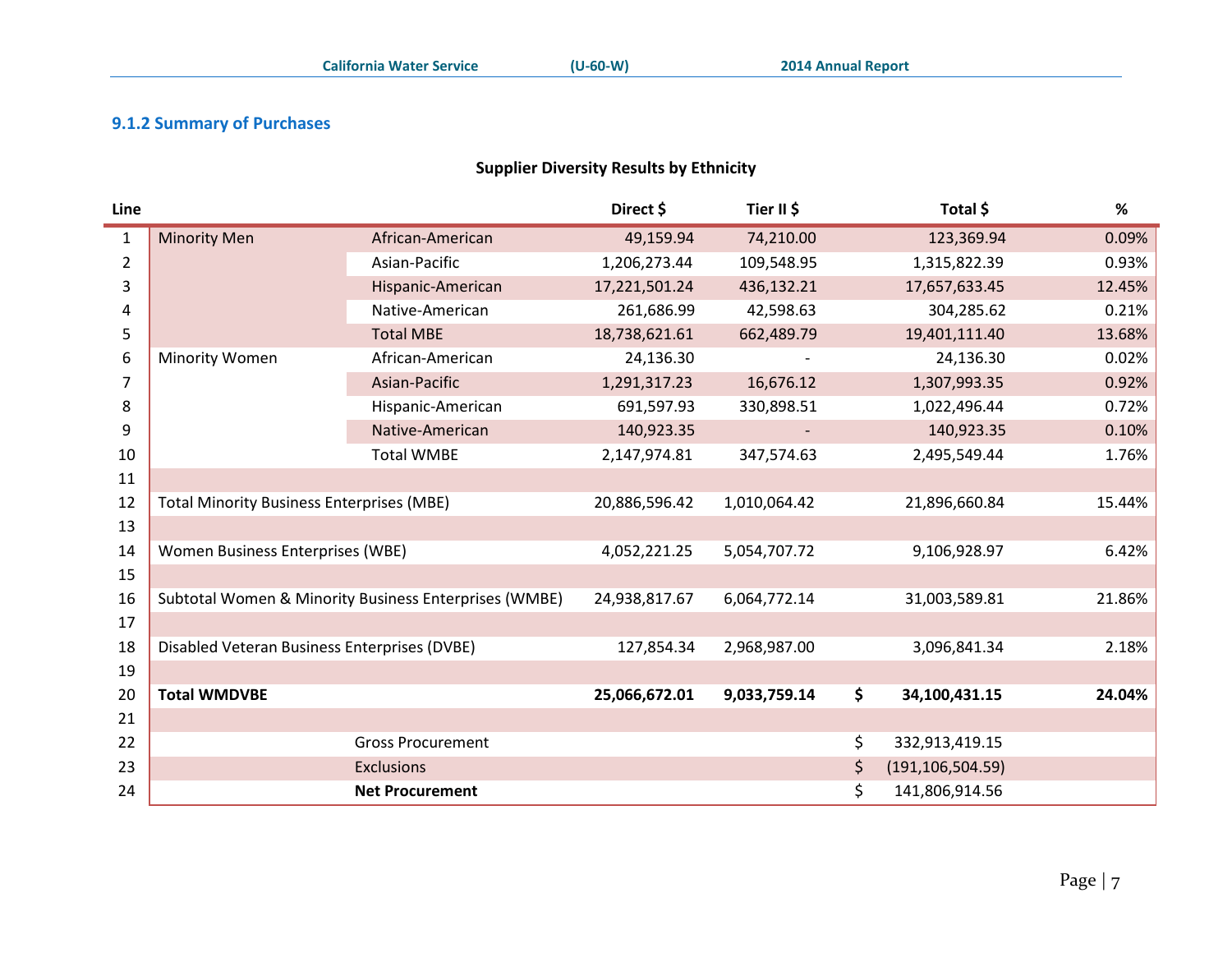#### **9.1.2 Summary of Purchases**

#### **Supplier Diversity Results by Ethnicity**

<span id="page-7-1"></span><span id="page-7-0"></span>

| Line           |                                                  |                                                       | Direct \$     | Tier II \$   |     | Total \$           | %      |
|----------------|--------------------------------------------------|-------------------------------------------------------|---------------|--------------|-----|--------------------|--------|
| $\mathbf{1}$   | <b>Minority Men</b>                              | African-American                                      | 49,159.94     | 74,210.00    |     | 123,369.94         | 0.09%  |
| $\overline{2}$ |                                                  | Asian-Pacific                                         | 1,206,273.44  | 109,548.95   |     | 1,315,822.39       | 0.93%  |
| 3              |                                                  | Hispanic-American                                     | 17,221,501.24 | 436,132.21   |     | 17,657,633.45      | 12.45% |
| 4              |                                                  | Native-American                                       | 261,686.99    | 42,598.63    |     | 304,285.62         | 0.21%  |
| 5              |                                                  | <b>Total MBE</b>                                      | 18,738,621.61 | 662,489.79   |     | 19,401,111.40      | 13.68% |
| 6              | Minority Women                                   | African-American                                      | 24,136.30     |              |     | 24,136.30          | 0.02%  |
| $\overline{7}$ |                                                  | Asian-Pacific                                         | 1,291,317.23  | 16,676.12    |     | 1,307,993.35       | 0.92%  |
| 8              |                                                  | Hispanic-American                                     | 691,597.93    | 330,898.51   |     | 1,022,496.44       | 0.72%  |
| 9              |                                                  | Native-American                                       | 140,923.35    |              |     | 140,923.35         | 0.10%  |
| 10             |                                                  | <b>Total WMBE</b>                                     | 2,147,974.81  | 347,574.63   |     | 2,495,549.44       | 1.76%  |
| 11             |                                                  |                                                       |               |              |     |                    |        |
| 12             | <b>Total Minority Business Enterprises (MBE)</b> |                                                       | 20,886,596.42 | 1,010,064.42 |     | 21,896,660.84      | 15.44% |
| 13             |                                                  |                                                       |               |              |     |                    |        |
| 14             | Women Business Enterprises (WBE)                 |                                                       | 4,052,221.25  | 5,054,707.72 |     | 9,106,928.97       | 6.42%  |
| 15             |                                                  |                                                       |               |              |     |                    |        |
| 16             |                                                  | Subtotal Women & Minority Business Enterprises (WMBE) | 24,938,817.67 | 6,064,772.14 |     | 31,003,589.81      | 21.86% |
| 17             |                                                  |                                                       |               |              |     |                    |        |
| 18             | Disabled Veteran Business Enterprises (DVBE)     |                                                       | 127,854.34    | 2,968,987.00 |     | 3,096,841.34       | 2.18%  |
| 19             |                                                  |                                                       |               |              |     |                    |        |
| 20             | <b>Total WMDVBE</b>                              |                                                       | 25,066,672.01 | 9,033,759.14 | \$  | 34,100,431.15      | 24.04% |
| 21             |                                                  |                                                       |               |              |     |                    |        |
| 22             |                                                  | <b>Gross Procurement</b>                              |               |              | \$  | 332,913,419.15     |        |
| 23             |                                                  | <b>Exclusions</b>                                     |               |              | \$. | (191, 106, 504.59) |        |
| 24             |                                                  | <b>Net Procurement</b>                                |               |              | \$  | 141,806,914.56     |        |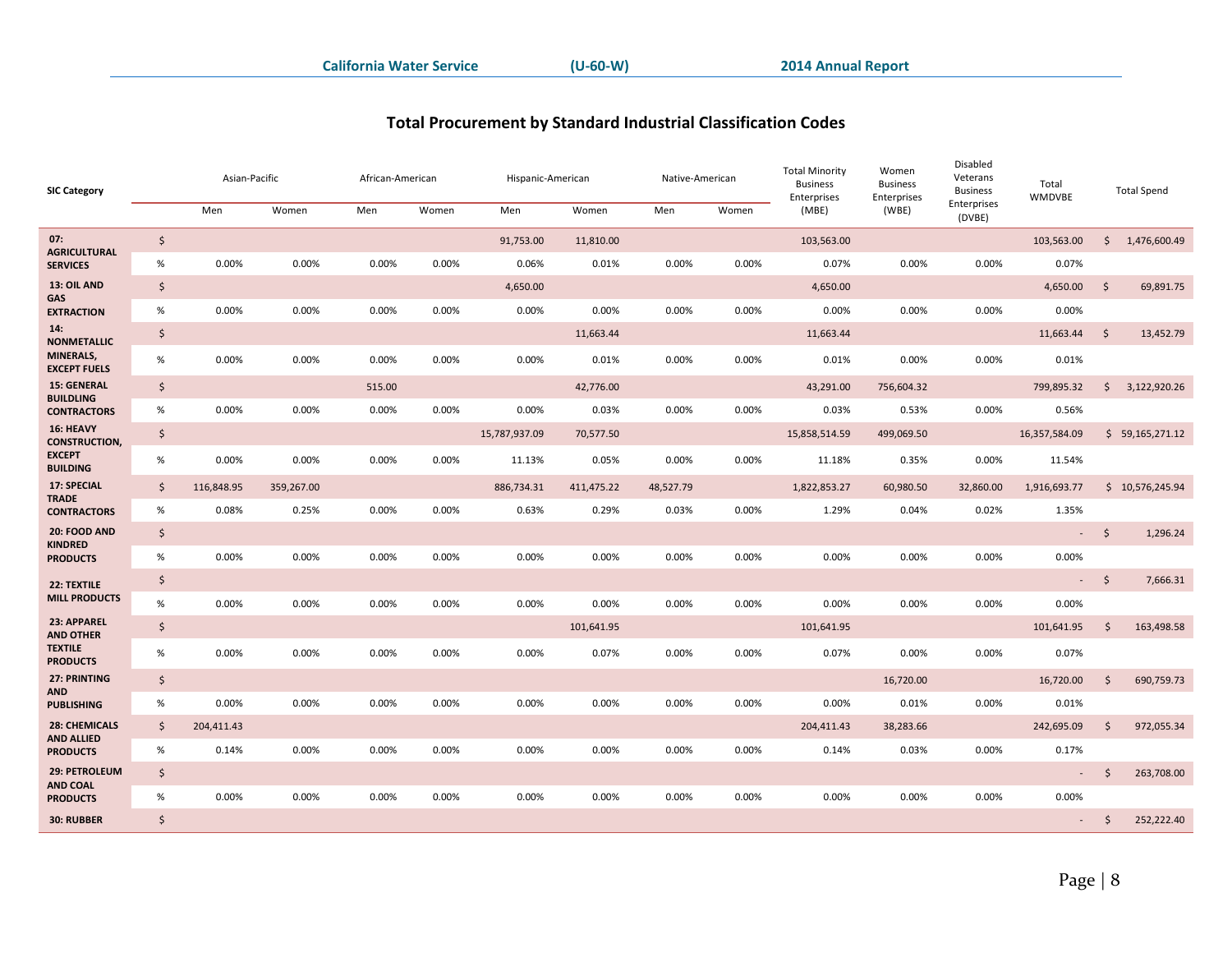### **Total Procurement by Standard Industrial Classification Codes**

<span id="page-8-0"></span>

| <b>SIC Category</b>                               |                     | Asian-Pacific |            | African-American |       | Hispanic-American |            | Native-American |       | <b>Total Minority</b><br><b>Business</b><br>Enterprises | Women<br><b>Business</b><br>Enterprises | Disabled<br>Veterans<br><b>Business</b> | Total<br>WMDVBE |                     | <b>Total Spend</b> |
|---------------------------------------------------|---------------------|---------------|------------|------------------|-------|-------------------|------------|-----------------|-------|---------------------------------------------------------|-----------------------------------------|-----------------------------------------|-----------------|---------------------|--------------------|
|                                                   |                     | Men           | Women      | Men              | Women | Men               | Women      | Men             | Women | (MBE)                                                   | (WBE)                                   | Enterprises<br>(DVBE)                   |                 |                     |                    |
| 07:<br><b>AGRICULTURAL</b>                        | $\ddot{\mathsf{S}}$ |               |            |                  |       | 91,753.00         | 11,810.00  |                 |       | 103,563.00                                              |                                         |                                         | 103,563.00      |                     | \$1,476,600.49     |
| <b>SERVICES</b>                                   | $\%$                | 0.00%         | 0.00%      | 0.00%            | 0.00% | 0.06%             | 0.01%      | 0.00%           | 0.00% | 0.07%                                                   | 0.00%                                   | 0.00%                                   | 0.07%           |                     |                    |
| 13: OIL AND<br><b>GAS</b>                         | $\zeta$             |               |            |                  |       | 4,650.00          |            |                 |       | 4,650.00                                                |                                         |                                         | 4,650.00        | $\zeta$             | 69,891.75          |
| <b>EXTRACTION</b>                                 | $\%$                | 0.00%         | 0.00%      | 0.00%            | 0.00% | 0.00%             | 0.00%      | 0.00%           | 0.00% | 0.00%                                                   | 0.00%                                   | 0.00%                                   | 0.00%           |                     |                    |
| 14:<br><b>NONMETALLIC</b>                         | $\frac{1}{2}$       |               |            |                  |       |                   | 11,663.44  |                 |       | 11,663.44                                               |                                         |                                         | 11,663.44       | $\ddot{\mathsf{S}}$ | 13,452.79          |
| MINERALS,<br><b>EXCEPT FUELS</b>                  | $\%$                | 0.00%         | 0.00%      | 0.00%            | 0.00% | 0.00%             | 0.01%      | 0.00%           | 0.00% | 0.01%                                                   | 0.00%                                   | 0.00%                                   | 0.01%           |                     |                    |
| <b>15: GENERAL</b><br><b>BUILDLING</b>            | $\zeta$             |               |            | 515.00           |       |                   | 42,776.00  |                 |       | 43,291.00                                               | 756,604.32                              |                                         | 799,895.32      | \$                  | 3,122,920.26       |
| <b>CONTRACTORS</b>                                | %                   | 0.00%         | 0.00%      | 0.00%            | 0.00% | 0.00%             | 0.03%      | 0.00%           | 0.00% | 0.03%                                                   | 0.53%                                   | 0.00%                                   | 0.56%           |                     |                    |
| 16: HEAVY<br><b>CONSTRUCTION,</b>                 | \$                  |               |            |                  |       | 15,787,937.09     | 70,577.50  |                 |       | 15,858,514.59                                           | 499,069.50                              |                                         | 16,357,584.09   |                     | \$59,165,271.12    |
| <b>EXCEPT</b><br><b>BUILDING</b>                  | %                   | 0.00%         | 0.00%      | 0.00%            | 0.00% | 11.13%            | 0.05%      | 0.00%           | 0.00% | 11.18%                                                  | 0.35%                                   | 0.00%                                   | 11.54%          |                     |                    |
| 17: SPECIAL<br><b>TRADE</b><br><b>CONTRACTORS</b> | $\mathsf{\hat{S}}$  | 116,848.95    | 359,267.00 |                  |       | 886,734.31        | 411,475.22 | 48,527.79       |       | 1,822,853.27                                            | 60,980.50                               | 32,860.00                               | 1,916,693.77    |                     | \$10,576,245.94    |
|                                                   | $\%$                | 0.08%         | 0.25%      | 0.00%            | 0.00% | 0.63%             | 0.29%      | 0.03%           | 0.00% | 1.29%                                                   | 0.04%                                   | 0.02%                                   | 1.35%           |                     |                    |
| 20: FOOD AND<br><b>KINDRED</b>                    | $\zeta$             |               |            |                  |       |                   |            |                 |       |                                                         |                                         |                                         | $\sim 10$       | $\mathsf{S}$        | 1,296.24           |
| <b>PRODUCTS</b>                                   | $\%$                | 0.00%         | 0.00%      | 0.00%            | 0.00% | 0.00%             | 0.00%      | 0.00%           | 0.00% | 0.00%                                                   | 0.00%                                   | 0.00%                                   | 0.00%           |                     |                    |
| 22: TEXTILE                                       | \$                  |               |            |                  |       |                   |            |                 |       |                                                         |                                         |                                         | $\sim 100$      | - \$                | 7,666.31           |
| <b>MILL PRODUCTS</b>                              | $\%$                | 0.00%         | 0.00%      | 0.00%            | 0.00% | 0.00%             | 0.00%      | 0.00%           | 0.00% | 0.00%                                                   | 0.00%                                   | 0.00%                                   | 0.00%           |                     |                    |
| 23: APPAREL<br><b>AND OTHER</b>                   | $\ddot{\mathsf{S}}$ |               |            |                  |       |                   | 101,641.95 |                 |       | 101,641.95                                              |                                         |                                         | 101,641.95      | \$                  | 163,498.58         |
| <b>TEXTILE</b><br><b>PRODUCTS</b>                 | %                   | 0.00%         | 0.00%      | 0.00%            | 0.00% | 0.00%             | 0.07%      | 0.00%           | 0.00% | 0.07%                                                   | 0.00%                                   | 0.00%                                   | 0.07%           |                     |                    |
| 27: PRINTING                                      | $\zeta$             |               |            |                  |       |                   |            |                 |       |                                                         | 16,720.00                               |                                         | 16,720.00       | $\mathsf{\dot{S}}$  | 690,759.73         |
| AND<br><b>PUBLISHING</b>                          | %                   | 0.00%         | 0.00%      | 0.00%            | 0.00% | 0.00%             | 0.00%      | 0.00%           | 0.00% | 0.00%                                                   | 0.01%                                   | 0.00%                                   | 0.01%           |                     |                    |
| <b>28: CHEMICALS</b><br><b>AND ALLIED</b>         | $\mathsf{\hat{S}}$  | 204,411.43    |            |                  |       |                   |            |                 |       | 204,411.43                                              | 38,283.66                               |                                         | 242,695.09      | $\zeta$             | 972,055.34         |
| <b>PRODUCTS</b>                                   | $\%$                | 0.14%         | 0.00%      | 0.00%            | 0.00% | 0.00%             | 0.00%      | 0.00%           | 0.00% | 0.14%                                                   | 0.03%                                   | 0.00%                                   | 0.17%           |                     |                    |
| 29: PETROLEUM<br><b>AND COAL</b>                  | $\zeta$             |               |            |                  |       |                   |            |                 |       |                                                         |                                         |                                         | $\sim$          | \$                  | 263,708.00         |
| <b>PRODUCTS</b>                                   | $\%$                | 0.00%         | 0.00%      | 0.00%            | 0.00% | 0.00%             | 0.00%      | 0.00%           | 0.00% | 0.00%                                                   | 0.00%                                   | 0.00%                                   | 0.00%           |                     |                    |
| 30: RUBBER                                        | $\zeta$             |               |            |                  |       |                   |            |                 |       |                                                         |                                         |                                         | $\sim$          | \$                  | 252,222.40         |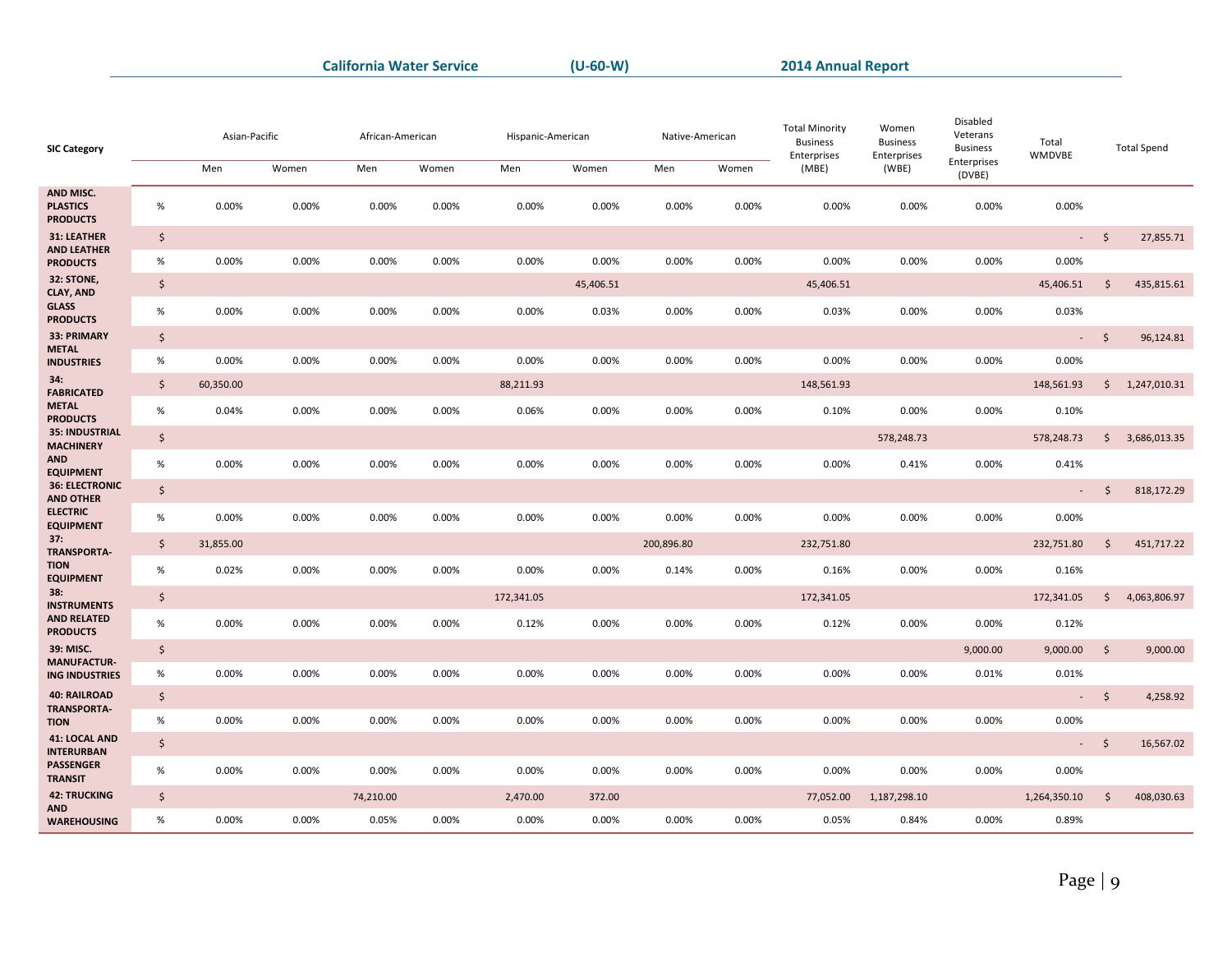| Enterprises<br>Men<br>Men<br>Men<br>Men<br>Women<br>Women<br>Women<br>Women<br>(MBE)<br>(WBE)<br>(DVBE)<br>AND MISC.<br>0.00%<br><b>PLASTICS</b><br>$\%$<br>0.00%<br>0.00%<br>0.00%<br>0.00%<br>0.00%<br>0.00%<br>0.00%<br>0.00%<br>0.00%<br>0.00%<br>0.00%<br><b>PRODUCTS</b><br>31: LEATHER<br>$\ddot{\varsigma}$<br>\$<br>27,855.71<br>$\mathcal{L}^{\pm}$<br><b>AND LEATHER</b><br>$\%$<br>0.00%<br>0.00%<br>0.00%<br>0.00%<br>0.00%<br>0.00%<br>0.00%<br>0.00%<br>0.00%<br>0.00%<br>0.00%<br>0.00%<br><b>PRODUCTS</b><br>32: STONE,<br>$\zeta$<br>$\zeta$<br>45,406.51<br>45,406.51<br>45,406.51<br>435,815.61<br><b>CLAY, AND</b><br><b>GLASS</b><br>$\%$<br>0.00%<br>0.00%<br>0.00%<br>0.00%<br>0.00%<br>0.03%<br>0.00%<br>0.00%<br>0.03%<br>0.00%<br>0.00%<br>0.03%<br><b>PRODUCTS</b><br>33: PRIMARY<br>$\ddot{\varsigma}$<br>$-5$<br>96,124.81<br><b>METAL</b><br>0.00%<br>0.00%<br>$\%$<br>0.00%<br>0.00%<br>0.00%<br>0.00%<br>0.00%<br>0.00%<br>0.00%<br>0.00%<br>0.00%<br>0.00%<br><b>INDUSTRIES</b><br>34:<br>$\zeta$<br>60,350.00<br>88,211.93<br>148,561.93<br>148,561.93<br>$\frac{1}{2}$<br>1,247,010.31<br><b>FABRICATED</b><br><b>METAL</b><br>$\%$<br>0.00%<br>0.00%<br>0.04%<br>0.00%<br>0.00%<br>0.06%<br>0.00%<br>0.00%<br>0.10%<br>0.00%<br>0.00%<br>0.10%<br><b>PRODUCTS</b><br><b>35: INDUSTRIAL</b><br>$\zeta$<br>578,248.73<br>578,248.73<br>$\mathsf{S}$<br>3,686,013.35<br><b>MACHINERY</b><br><b>AND</b><br>$\%$<br>0.00%<br>0.00%<br>0.00%<br>0.00%<br>0.00%<br>0.00%<br>0.00%<br>0.00%<br>0.00%<br>0.41%<br>0.00%<br>0.41%<br><b>EQUIPMENT</b><br><b>36: ELECTRONIC</b><br>$\zeta$<br>$\ddot{\varsigma}$<br>818,172.29<br>$\sim$<br><b>AND OTHER</b><br><b>ELECTRIC</b><br>$\%$<br>0.00%<br>0.00%<br>0.00%<br>0.00%<br>0.00%<br>0.00%<br>0.00%<br>0.00%<br>0.00%<br>0.00%<br>0.00%<br>0.00%<br><b>EQUIPMENT</b><br>37:<br>$\zeta$<br>232,751.80<br>$\zeta$<br>31,855.00<br>200,896.80<br>232,751.80<br>451,717.22<br><b>TRANSPORTA-</b><br><b>TION</b><br>$\%$<br>0.02%<br>0.00%<br>0.00%<br>0.00%<br>0.00%<br>0.00%<br>0.14%<br>0.00%<br>0.00%<br>0.00%<br>0.16%<br>0.16%<br><b>EQUIPMENT</b><br>38:<br>$\boldsymbol{\zeta}$<br>172,341.05<br>$\zeta$<br>172,341.05<br>172,341.05<br>4,063,806.97<br><b>INSTRUMENTS</b><br><b>AND RELATED</b><br>$\%$<br>0.00%<br>0.00%<br>0.00%<br>0.00%<br>0.12%<br>0.00%<br>0.00%<br>0.12%<br>0.00%<br>0.00%<br>0.12%<br>0.00%<br><b>PRODUCTS</b><br>39: MISC.<br>$\ddot{\varsigma}$<br>$\mathsf{\dot{S}}$<br>9,000.00<br>9,000.00<br>9,000.00<br><b>MANUFACTUR-</b><br>0.00%<br>$\%$<br>0.00%<br>0.00%<br>0.00%<br>0.00%<br>0.00%<br>0.00%<br>0.00%<br>0.00%<br>0.00%<br>0.01%<br>0.01%<br><b>ING INDUSTRIES</b><br><b>40: RAILROAD</b><br>\$<br>$\ddot{\mathsf{S}}$<br>4,258.92<br>$\sigma_{\rm{max}}$<br><b>TRANSPORTA-</b><br>$\%$<br>0.00%<br>0.00%<br>0.00%<br>0.00%<br>0.00%<br>0.00%<br>0.00%<br>0.00%<br>0.00%<br>0.00%<br>0.00%<br>0.00%<br><b>TION</b><br>41: LOCAL AND<br>$\zeta$<br>$\ddot{\mathsf{S}}$<br>16,567.02<br>$\sigma_{\rm{max}}$<br><b>INTERURBAN</b><br><b>PASSENGER</b><br>$\%$<br>0.00%<br>0.00%<br>0.00%<br>0.00%<br>0.00%<br>0.00%<br>0.00%<br>0.00%<br>0.00%<br>0.00%<br>0.00%<br>0.00%<br><b>TRANSIT</b><br><b>42: TRUCKING</b><br>$\ddot{\varsigma}$<br>$\ddot{\mathsf{S}}$<br>74,210.00<br>2,470.00<br>372.00<br>77,052.00<br>1,187,298.10<br>1,264,350.10<br>408,030.63<br><b>AND</b><br>$\%$<br>0.00%<br>0.00%<br>0.05%<br>0.00%<br>0.89%<br>0.00%<br>0.00%<br>0.00%<br>0.00%<br>0.05%<br>0.84%<br>0.00%<br><b>WAREHOUSING</b> | <b>SIC Category</b> | Asian-Pacific | African-American | Hispanic-American | Native-American | <b>Total Minority</b><br><b>Business</b><br>Enterprises | Women<br><b>Business</b><br>Enterprises | Disabled<br>Veterans<br><b>Business</b> | Total<br>WMDVBE | <b>Total Spend</b> |  |
|-----------------------------------------------------------------------------------------------------------------------------------------------------------------------------------------------------------------------------------------------------------------------------------------------------------------------------------------------------------------------------------------------------------------------------------------------------------------------------------------------------------------------------------------------------------------------------------------------------------------------------------------------------------------------------------------------------------------------------------------------------------------------------------------------------------------------------------------------------------------------------------------------------------------------------------------------------------------------------------------------------------------------------------------------------------------------------------------------------------------------------------------------------------------------------------------------------------------------------------------------------------------------------------------------------------------------------------------------------------------------------------------------------------------------------------------------------------------------------------------------------------------------------------------------------------------------------------------------------------------------------------------------------------------------------------------------------------------------------------------------------------------------------------------------------------------------------------------------------------------------------------------------------------------------------------------------------------------------------------------------------------------------------------------------------------------------------------------------------------------------------------------------------------------------------------------------------------------------------------------------------------------------------------------------------------------------------------------------------------------------------------------------------------------------------------------------------------------------------------------------------------------------------------------------------------------------------------------------------------------------------------------------------------------------------------------------------------------------------------------------------------------------------------------------------------------------------------------------------------------------------------------------------------------------------------------------------------------------------------------------------------------------------------------------------------------------------------------------------------------------------------------------------------------------------------------------------------------------------------------------------------------------------------------------------------------------------------------------------------------------------------------------------------------------------------------------------------------------------------------------------------------------------------------|---------------------|---------------|------------------|-------------------|-----------------|---------------------------------------------------------|-----------------------------------------|-----------------------------------------|-----------------|--------------------|--|
|                                                                                                                                                                                                                                                                                                                                                                                                                                                                                                                                                                                                                                                                                                                                                                                                                                                                                                                                                                                                                                                                                                                                                                                                                                                                                                                                                                                                                                                                                                                                                                                                                                                                                                                                                                                                                                                                                                                                                                                                                                                                                                                                                                                                                                                                                                                                                                                                                                                                                                                                                                                                                                                                                                                                                                                                                                                                                                                                                                                                                                                                                                                                                                                                                                                                                                                                                                                                                                                                                                                                         |                     |               |                  |                   |                 |                                                         |                                         |                                         |                 |                    |  |
|                                                                                                                                                                                                                                                                                                                                                                                                                                                                                                                                                                                                                                                                                                                                                                                                                                                                                                                                                                                                                                                                                                                                                                                                                                                                                                                                                                                                                                                                                                                                                                                                                                                                                                                                                                                                                                                                                                                                                                                                                                                                                                                                                                                                                                                                                                                                                                                                                                                                                                                                                                                                                                                                                                                                                                                                                                                                                                                                                                                                                                                                                                                                                                                                                                                                                                                                                                                                                                                                                                                                         |                     |               |                  |                   |                 |                                                         |                                         |                                         |                 |                    |  |
|                                                                                                                                                                                                                                                                                                                                                                                                                                                                                                                                                                                                                                                                                                                                                                                                                                                                                                                                                                                                                                                                                                                                                                                                                                                                                                                                                                                                                                                                                                                                                                                                                                                                                                                                                                                                                                                                                                                                                                                                                                                                                                                                                                                                                                                                                                                                                                                                                                                                                                                                                                                                                                                                                                                                                                                                                                                                                                                                                                                                                                                                                                                                                                                                                                                                                                                                                                                                                                                                                                                                         |                     |               |                  |                   |                 |                                                         |                                         |                                         |                 |                    |  |
|                                                                                                                                                                                                                                                                                                                                                                                                                                                                                                                                                                                                                                                                                                                                                                                                                                                                                                                                                                                                                                                                                                                                                                                                                                                                                                                                                                                                                                                                                                                                                                                                                                                                                                                                                                                                                                                                                                                                                                                                                                                                                                                                                                                                                                                                                                                                                                                                                                                                                                                                                                                                                                                                                                                                                                                                                                                                                                                                                                                                                                                                                                                                                                                                                                                                                                                                                                                                                                                                                                                                         |                     |               |                  |                   |                 |                                                         |                                         |                                         |                 |                    |  |
|                                                                                                                                                                                                                                                                                                                                                                                                                                                                                                                                                                                                                                                                                                                                                                                                                                                                                                                                                                                                                                                                                                                                                                                                                                                                                                                                                                                                                                                                                                                                                                                                                                                                                                                                                                                                                                                                                                                                                                                                                                                                                                                                                                                                                                                                                                                                                                                                                                                                                                                                                                                                                                                                                                                                                                                                                                                                                                                                                                                                                                                                                                                                                                                                                                                                                                                                                                                                                                                                                                                                         |                     |               |                  |                   |                 |                                                         |                                         |                                         |                 |                    |  |
|                                                                                                                                                                                                                                                                                                                                                                                                                                                                                                                                                                                                                                                                                                                                                                                                                                                                                                                                                                                                                                                                                                                                                                                                                                                                                                                                                                                                                                                                                                                                                                                                                                                                                                                                                                                                                                                                                                                                                                                                                                                                                                                                                                                                                                                                                                                                                                                                                                                                                                                                                                                                                                                                                                                                                                                                                                                                                                                                                                                                                                                                                                                                                                                                                                                                                                                                                                                                                                                                                                                                         |                     |               |                  |                   |                 |                                                         |                                         |                                         |                 |                    |  |
|                                                                                                                                                                                                                                                                                                                                                                                                                                                                                                                                                                                                                                                                                                                                                                                                                                                                                                                                                                                                                                                                                                                                                                                                                                                                                                                                                                                                                                                                                                                                                                                                                                                                                                                                                                                                                                                                                                                                                                                                                                                                                                                                                                                                                                                                                                                                                                                                                                                                                                                                                                                                                                                                                                                                                                                                                                                                                                                                                                                                                                                                                                                                                                                                                                                                                                                                                                                                                                                                                                                                         |                     |               |                  |                   |                 |                                                         |                                         |                                         |                 |                    |  |
|                                                                                                                                                                                                                                                                                                                                                                                                                                                                                                                                                                                                                                                                                                                                                                                                                                                                                                                                                                                                                                                                                                                                                                                                                                                                                                                                                                                                                                                                                                                                                                                                                                                                                                                                                                                                                                                                                                                                                                                                                                                                                                                                                                                                                                                                                                                                                                                                                                                                                                                                                                                                                                                                                                                                                                                                                                                                                                                                                                                                                                                                                                                                                                                                                                                                                                                                                                                                                                                                                                                                         |                     |               |                  |                   |                 |                                                         |                                         |                                         |                 |                    |  |
|                                                                                                                                                                                                                                                                                                                                                                                                                                                                                                                                                                                                                                                                                                                                                                                                                                                                                                                                                                                                                                                                                                                                                                                                                                                                                                                                                                                                                                                                                                                                                                                                                                                                                                                                                                                                                                                                                                                                                                                                                                                                                                                                                                                                                                                                                                                                                                                                                                                                                                                                                                                                                                                                                                                                                                                                                                                                                                                                                                                                                                                                                                                                                                                                                                                                                                                                                                                                                                                                                                                                         |                     |               |                  |                   |                 |                                                         |                                         |                                         |                 |                    |  |
|                                                                                                                                                                                                                                                                                                                                                                                                                                                                                                                                                                                                                                                                                                                                                                                                                                                                                                                                                                                                                                                                                                                                                                                                                                                                                                                                                                                                                                                                                                                                                                                                                                                                                                                                                                                                                                                                                                                                                                                                                                                                                                                                                                                                                                                                                                                                                                                                                                                                                                                                                                                                                                                                                                                                                                                                                                                                                                                                                                                                                                                                                                                                                                                                                                                                                                                                                                                                                                                                                                                                         |                     |               |                  |                   |                 |                                                         |                                         |                                         |                 |                    |  |
|                                                                                                                                                                                                                                                                                                                                                                                                                                                                                                                                                                                                                                                                                                                                                                                                                                                                                                                                                                                                                                                                                                                                                                                                                                                                                                                                                                                                                                                                                                                                                                                                                                                                                                                                                                                                                                                                                                                                                                                                                                                                                                                                                                                                                                                                                                                                                                                                                                                                                                                                                                                                                                                                                                                                                                                                                                                                                                                                                                                                                                                                                                                                                                                                                                                                                                                                                                                                                                                                                                                                         |                     |               |                  |                   |                 |                                                         |                                         |                                         |                 |                    |  |
|                                                                                                                                                                                                                                                                                                                                                                                                                                                                                                                                                                                                                                                                                                                                                                                                                                                                                                                                                                                                                                                                                                                                                                                                                                                                                                                                                                                                                                                                                                                                                                                                                                                                                                                                                                                                                                                                                                                                                                                                                                                                                                                                                                                                                                                                                                                                                                                                                                                                                                                                                                                                                                                                                                                                                                                                                                                                                                                                                                                                                                                                                                                                                                                                                                                                                                                                                                                                                                                                                                                                         |                     |               |                  |                   |                 |                                                         |                                         |                                         |                 |                    |  |
|                                                                                                                                                                                                                                                                                                                                                                                                                                                                                                                                                                                                                                                                                                                                                                                                                                                                                                                                                                                                                                                                                                                                                                                                                                                                                                                                                                                                                                                                                                                                                                                                                                                                                                                                                                                                                                                                                                                                                                                                                                                                                                                                                                                                                                                                                                                                                                                                                                                                                                                                                                                                                                                                                                                                                                                                                                                                                                                                                                                                                                                                                                                                                                                                                                                                                                                                                                                                                                                                                                                                         |                     |               |                  |                   |                 |                                                         |                                         |                                         |                 |                    |  |
|                                                                                                                                                                                                                                                                                                                                                                                                                                                                                                                                                                                                                                                                                                                                                                                                                                                                                                                                                                                                                                                                                                                                                                                                                                                                                                                                                                                                                                                                                                                                                                                                                                                                                                                                                                                                                                                                                                                                                                                                                                                                                                                                                                                                                                                                                                                                                                                                                                                                                                                                                                                                                                                                                                                                                                                                                                                                                                                                                                                                                                                                                                                                                                                                                                                                                                                                                                                                                                                                                                                                         |                     |               |                  |                   |                 |                                                         |                                         |                                         |                 |                    |  |
|                                                                                                                                                                                                                                                                                                                                                                                                                                                                                                                                                                                                                                                                                                                                                                                                                                                                                                                                                                                                                                                                                                                                                                                                                                                                                                                                                                                                                                                                                                                                                                                                                                                                                                                                                                                                                                                                                                                                                                                                                                                                                                                                                                                                                                                                                                                                                                                                                                                                                                                                                                                                                                                                                                                                                                                                                                                                                                                                                                                                                                                                                                                                                                                                                                                                                                                                                                                                                                                                                                                                         |                     |               |                  |                   |                 |                                                         |                                         |                                         |                 |                    |  |
|                                                                                                                                                                                                                                                                                                                                                                                                                                                                                                                                                                                                                                                                                                                                                                                                                                                                                                                                                                                                                                                                                                                                                                                                                                                                                                                                                                                                                                                                                                                                                                                                                                                                                                                                                                                                                                                                                                                                                                                                                                                                                                                                                                                                                                                                                                                                                                                                                                                                                                                                                                                                                                                                                                                                                                                                                                                                                                                                                                                                                                                                                                                                                                                                                                                                                                                                                                                                                                                                                                                                         |                     |               |                  |                   |                 |                                                         |                                         |                                         |                 |                    |  |
|                                                                                                                                                                                                                                                                                                                                                                                                                                                                                                                                                                                                                                                                                                                                                                                                                                                                                                                                                                                                                                                                                                                                                                                                                                                                                                                                                                                                                                                                                                                                                                                                                                                                                                                                                                                                                                                                                                                                                                                                                                                                                                                                                                                                                                                                                                                                                                                                                                                                                                                                                                                                                                                                                                                                                                                                                                                                                                                                                                                                                                                                                                                                                                                                                                                                                                                                                                                                                                                                                                                                         |                     |               |                  |                   |                 |                                                         |                                         |                                         |                 |                    |  |
|                                                                                                                                                                                                                                                                                                                                                                                                                                                                                                                                                                                                                                                                                                                                                                                                                                                                                                                                                                                                                                                                                                                                                                                                                                                                                                                                                                                                                                                                                                                                                                                                                                                                                                                                                                                                                                                                                                                                                                                                                                                                                                                                                                                                                                                                                                                                                                                                                                                                                                                                                                                                                                                                                                                                                                                                                                                                                                                                                                                                                                                                                                                                                                                                                                                                                                                                                                                                                                                                                                                                         |                     |               |                  |                   |                 |                                                         |                                         |                                         |                 |                    |  |
|                                                                                                                                                                                                                                                                                                                                                                                                                                                                                                                                                                                                                                                                                                                                                                                                                                                                                                                                                                                                                                                                                                                                                                                                                                                                                                                                                                                                                                                                                                                                                                                                                                                                                                                                                                                                                                                                                                                                                                                                                                                                                                                                                                                                                                                                                                                                                                                                                                                                                                                                                                                                                                                                                                                                                                                                                                                                                                                                                                                                                                                                                                                                                                                                                                                                                                                                                                                                                                                                                                                                         |                     |               |                  |                   |                 |                                                         |                                         |                                         |                 |                    |  |
|                                                                                                                                                                                                                                                                                                                                                                                                                                                                                                                                                                                                                                                                                                                                                                                                                                                                                                                                                                                                                                                                                                                                                                                                                                                                                                                                                                                                                                                                                                                                                                                                                                                                                                                                                                                                                                                                                                                                                                                                                                                                                                                                                                                                                                                                                                                                                                                                                                                                                                                                                                                                                                                                                                                                                                                                                                                                                                                                                                                                                                                                                                                                                                                                                                                                                                                                                                                                                                                                                                                                         |                     |               |                  |                   |                 |                                                         |                                         |                                         |                 |                    |  |
|                                                                                                                                                                                                                                                                                                                                                                                                                                                                                                                                                                                                                                                                                                                                                                                                                                                                                                                                                                                                                                                                                                                                                                                                                                                                                                                                                                                                                                                                                                                                                                                                                                                                                                                                                                                                                                                                                                                                                                                                                                                                                                                                                                                                                                                                                                                                                                                                                                                                                                                                                                                                                                                                                                                                                                                                                                                                                                                                                                                                                                                                                                                                                                                                                                                                                                                                                                                                                                                                                                                                         |                     |               |                  |                   |                 |                                                         |                                         |                                         |                 |                    |  |
|                                                                                                                                                                                                                                                                                                                                                                                                                                                                                                                                                                                                                                                                                                                                                                                                                                                                                                                                                                                                                                                                                                                                                                                                                                                                                                                                                                                                                                                                                                                                                                                                                                                                                                                                                                                                                                                                                                                                                                                                                                                                                                                                                                                                                                                                                                                                                                                                                                                                                                                                                                                                                                                                                                                                                                                                                                                                                                                                                                                                                                                                                                                                                                                                                                                                                                                                                                                                                                                                                                                                         |                     |               |                  |                   |                 |                                                         |                                         |                                         |                 |                    |  |
|                                                                                                                                                                                                                                                                                                                                                                                                                                                                                                                                                                                                                                                                                                                                                                                                                                                                                                                                                                                                                                                                                                                                                                                                                                                                                                                                                                                                                                                                                                                                                                                                                                                                                                                                                                                                                                                                                                                                                                                                                                                                                                                                                                                                                                                                                                                                                                                                                                                                                                                                                                                                                                                                                                                                                                                                                                                                                                                                                                                                                                                                                                                                                                                                                                                                                                                                                                                                                                                                                                                                         |                     |               |                  |                   |                 |                                                         |                                         |                                         |                 |                    |  |
|                                                                                                                                                                                                                                                                                                                                                                                                                                                                                                                                                                                                                                                                                                                                                                                                                                                                                                                                                                                                                                                                                                                                                                                                                                                                                                                                                                                                                                                                                                                                                                                                                                                                                                                                                                                                                                                                                                                                                                                                                                                                                                                                                                                                                                                                                                                                                                                                                                                                                                                                                                                                                                                                                                                                                                                                                                                                                                                                                                                                                                                                                                                                                                                                                                                                                                                                                                                                                                                                                                                                         |                     |               |                  |                   |                 |                                                         |                                         |                                         |                 |                    |  |
|                                                                                                                                                                                                                                                                                                                                                                                                                                                                                                                                                                                                                                                                                                                                                                                                                                                                                                                                                                                                                                                                                                                                                                                                                                                                                                                                                                                                                                                                                                                                                                                                                                                                                                                                                                                                                                                                                                                                                                                                                                                                                                                                                                                                                                                                                                                                                                                                                                                                                                                                                                                                                                                                                                                                                                                                                                                                                                                                                                                                                                                                                                                                                                                                                                                                                                                                                                                                                                                                                                                                         |                     |               |                  |                   |                 |                                                         |                                         |                                         |                 |                    |  |
|                                                                                                                                                                                                                                                                                                                                                                                                                                                                                                                                                                                                                                                                                                                                                                                                                                                                                                                                                                                                                                                                                                                                                                                                                                                                                                                                                                                                                                                                                                                                                                                                                                                                                                                                                                                                                                                                                                                                                                                                                                                                                                                                                                                                                                                                                                                                                                                                                                                                                                                                                                                                                                                                                                                                                                                                                                                                                                                                                                                                                                                                                                                                                                                                                                                                                                                                                                                                                                                                                                                                         |                     |               |                  |                   |                 |                                                         |                                         |                                         |                 |                    |  |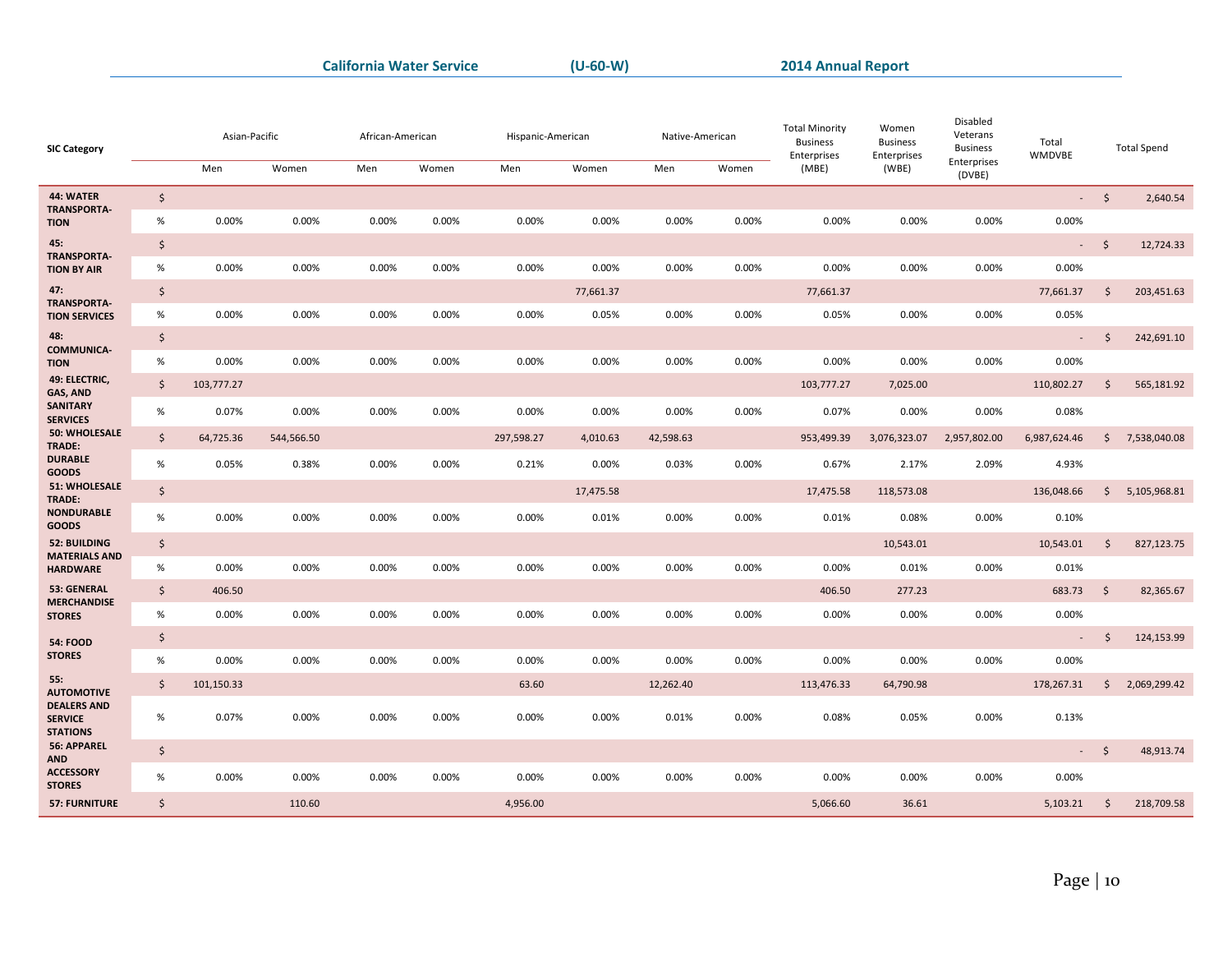| <b>SIC Category</b>                                     |                    | Asian-Pacific |            | African-American |       |            | Hispanic-American<br>Native-American |           | <b>Total Minority</b><br><b>Business</b><br>Enterprises | Women<br><b>Business</b><br>Enterprises | Disabled<br>Veterans<br><b>Business</b> | Total<br>WMDVBE       |                          | <b>Total Spend</b> |              |
|---------------------------------------------------------|--------------------|---------------|------------|------------------|-------|------------|--------------------------------------|-----------|---------------------------------------------------------|-----------------------------------------|-----------------------------------------|-----------------------|--------------------------|--------------------|--------------|
|                                                         |                    | Men           | Women      | Men              | Women | Men        | Women                                | Men       | Women                                                   | (MBE)                                   | (WBE)                                   | Enterprises<br>(DVBE) |                          |                    |              |
| 44: WATER<br><b>TRANSPORTA-</b>                         | $\zeta$            |               |            |                  |       |            |                                      |           |                                                         |                                         |                                         |                       |                          | $-5$               | 2,640.54     |
| <b>TION</b>                                             | $\%$               | 0.00%         | 0.00%      | 0.00%            | 0.00% | 0.00%      | 0.00%                                | 0.00%     | 0.00%                                                   | 0.00%                                   | 0.00%                                   | 0.00%                 | 0.00%                    |                    |              |
| 45:<br><b>TRANSPORTA-</b>                               | $\ddot{\varsigma}$ |               |            |                  |       |            |                                      |           |                                                         |                                         |                                         |                       |                          | $-5$               | 12,724.33    |
| <b>TION BY AIR</b>                                      | $\%$               | 0.00%         | 0.00%      | 0.00%            | 0.00% | 0.00%      | 0.00%                                | 0.00%     | 0.00%                                                   | 0.00%                                   | 0.00%                                   | 0.00%                 | 0.00%                    |                    |              |
| 47:<br><b>TRANSPORTA-</b>                               | $\ddot{\varsigma}$ |               |            |                  |       |            | 77,661.37                            |           |                                                         | 77,661.37                               |                                         |                       | 77,661.37                | $\frac{1}{2}$      | 203,451.63   |
| <b>TION SERVICES</b>                                    | $\%$               | 0.00%         | 0.00%      | 0.00%            | 0.00% | 0.00%      | 0.05%                                | 0.00%     | 0.00%                                                   | 0.05%                                   | 0.00%                                   | 0.00%                 | 0.05%                    |                    |              |
| 48:<br><b>COMMUNICA-</b>                                | $\zeta$            |               |            |                  |       |            |                                      |           |                                                         |                                         |                                         |                       | $\overline{\phantom{a}}$ | $\zeta$            | 242,691.10   |
| <b>TION</b>                                             | $\%$               | 0.00%         | 0.00%      | 0.00%            | 0.00% | 0.00%      | 0.00%                                | 0.00%     | 0.00%                                                   | 0.00%                                   | 0.00%                                   | 0.00%                 | 0.00%                    |                    |              |
| 49: ELECTRIC,<br>GAS, AND                               | $\zeta$            | 103,777.27    |            |                  |       |            |                                      |           |                                                         | 103,777.27                              | 7,025.00                                |                       | 110,802.27               | $\zeta$            | 565,181.92   |
| <b>SANITARY</b><br><b>SERVICES</b>                      | $\%$               | 0.07%         | 0.00%      | 0.00%            | 0.00% | 0.00%      | 0.00%                                | 0.00%     | 0.00%                                                   | 0.07%                                   | 0.00%                                   | 0.00%                 | 0.08%                    |                    |              |
| <b>50: WHOLESALE</b><br>TRADE:                          | $\zeta$            | 64,725.36     | 544,566.50 |                  |       | 297,598.27 | 4,010.63                             | 42,598.63 |                                                         | 953,499.39                              | 3,076,323.07                            | 2,957,802.00          | 6,987,624.46             | $\zeta$            | 7,538,040.08 |
| <b>DURABLE</b>                                          | $\%$               | 0.05%         | 0.38%      | 0.00%            | 0.00% | 0.21%      | 0.00%                                | 0.03%     | 0.00%                                                   | 0.67%                                   | 2.17%                                   | 2.09%                 | 4.93%                    |                    |              |
| <b>GOODS</b><br>51: WHOLESALE                           | $\zeta$            |               |            |                  |       |            | 17,475.58                            |           |                                                         | 17,475.58                               | 118,573.08                              |                       | 136,048.66               | \$                 | 5,105,968.81 |
| TRADE:<br><b>NONDURABLE</b>                             | $\%$               | 0.00%         | 0.00%      | 0.00%            | 0.00% | 0.00%      | 0.01%                                | 0.00%     | 0.00%                                                   | 0.01%                                   | 0.08%                                   | 0.00%                 | 0.10%                    |                    |              |
| GOODS<br>52: BUILDING                                   | $\zeta$            |               |            |                  |       |            |                                      |           |                                                         |                                         | 10,543.01                               |                       | 10,543.01                | \$                 | 827,123.75   |
| <b>MATERIALS AND</b><br><b>HARDWARE</b>                 | %                  | 0.00%         | 0.00%      | 0.00%            | 0.00% | 0.00%      | 0.00%                                | 0.00%     | 0.00%                                                   | 0.00%                                   | 0.01%                                   | 0.00%                 | 0.01%                    |                    |              |
| 53: GENERAL                                             | $\zeta$            | 406.50        |            |                  |       |            |                                      |           |                                                         | 406.50                                  | 277.23                                  |                       | 683.73                   | $\zeta$            | 82,365.67    |
| <b>MERCHANDISE</b><br><b>STORES</b>                     | $\%$               | 0.00%         | 0.00%      | 0.00%            | 0.00% | 0.00%      | 0.00%                                | 0.00%     | 0.00%                                                   | 0.00%                                   | 0.00%                                   | 0.00%                 | 0.00%                    |                    |              |
| <b>54: FOOD</b>                                         | \$                 |               |            |                  |       |            |                                      |           |                                                         |                                         |                                         |                       | ÷,                       | $\zeta$            | 124,153.99   |
| <b>STORES</b>                                           | $\%$               | 0.00%         | 0.00%      | 0.00%            | 0.00% | 0.00%      | 0.00%                                | 0.00%     | 0.00%                                                   | 0.00%                                   | 0.00%                                   | 0.00%                 | 0.00%                    |                    |              |
| 55:<br><b>AUTOMOTIVE</b>                                | $\zeta$            | 101,150.33    |            |                  |       | 63.60      |                                      | 12,262.40 |                                                         | 113,476.33                              | 64,790.98                               |                       | 178,267.31               | $\zeta$            | 2,069,299.42 |
| <b>DEALERS AND</b><br><b>SERVICE</b><br><b>STATIONS</b> | $\%$               | 0.07%         | 0.00%      | 0.00%            | 0.00% | 0.00%      | 0.00%                                | 0.01%     | 0.00%                                                   | 0.08%                                   | 0.05%                                   | 0.00%                 | 0.13%                    |                    |              |
| 56: APPAREL                                             | $\zeta$            |               |            |                  |       |            |                                      |           |                                                         |                                         |                                         |                       | $\omega_{\rm{eff}}$      | $\mathsf{\hat{S}}$ | 48,913.74    |
| <b>AND</b><br><b>ACCESSORY</b><br><b>STORES</b>         | %                  | 0.00%         | 0.00%      | 0.00%            | 0.00% | 0.00%      | 0.00%                                | 0.00%     | 0.00%                                                   | 0.00%                                   | 0.00%                                   | 0.00%                 | 0.00%                    |                    |              |
| <b>57: FURNITURE</b>                                    | $\zeta$            |               | 110.60     |                  |       | 4,956.00   |                                      |           |                                                         | 5,066.60                                | 36.61                                   |                       | 5,103.21                 | \$                 | 218,709.58   |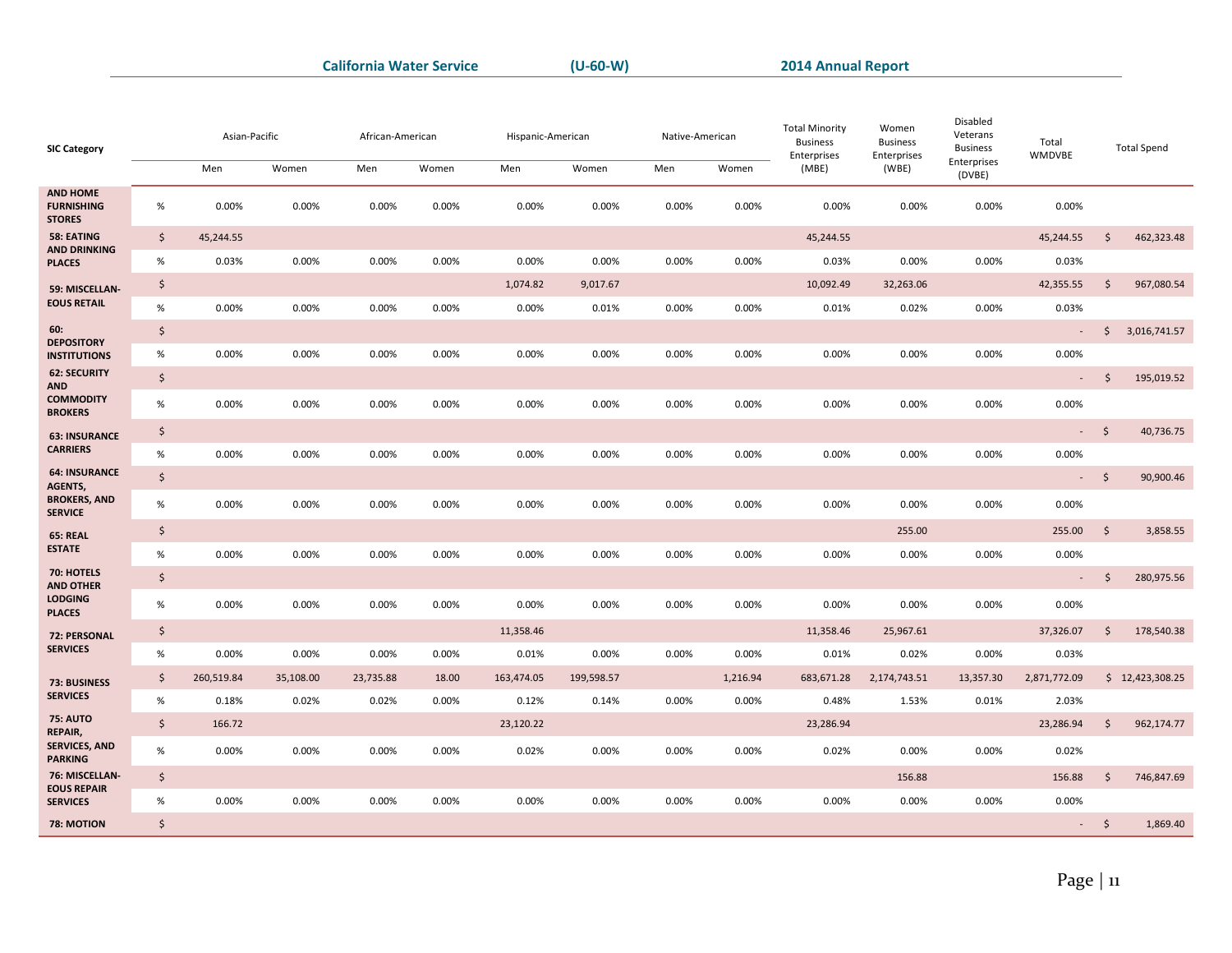| Enterprises<br>Men<br>Men<br>Women<br>Women<br>Men<br>Women<br>Men<br>Women<br>(MBE)<br>(WBE)<br>(DVBE)<br><b>AND HOME</b><br><b>FURNISHING</b><br>$\%$<br>0.00%<br>0.00%<br>0.00%<br>0.00%<br>0.00%<br>0.00%<br>0.00%<br>0.00%<br>0.00%<br>0.00%<br>0.00%<br>0.00%<br><b>STORES</b><br>58: EATING<br>$\zeta$<br>45,244.55<br>$\ddot{\mathsf{S}}$<br>462,323.48<br>45,244.55<br>45,244.55<br><b>AND DRINKING</b><br>$\%$<br>0.00%<br>0.00%<br>0.00%<br>0.03%<br>0.00%<br>0.00%<br>0.00%<br>0.00%<br>0.03%<br>0.00%<br>0.00%<br>0.03%<br><b>PLACES</b><br>\$<br>10,092.49<br>$\ddot{\mathsf{S}}$<br>1,074.82<br>9,017.67<br>32,263.06<br>42,355.55<br>967,080.54<br>59: MISCELLAN-<br><b>EOUS RETAIL</b><br>$\%$<br>0.00%<br>0.03%<br>0.00%<br>0.00%<br>0.00%<br>0.00%<br>0.00%<br>0.01%<br>0.00%<br>0.01%<br>0.02%<br>0.00%<br>60:<br>$\zeta$<br>$\mathsf{S}$<br>3,016,741.57<br>$\overline{\phantom{a}}$<br><b>DEPOSITORY</b><br>$\%$<br>0.00%<br>0.00%<br>0.00%<br>0.00%<br>0.00%<br>0.00%<br>0.00%<br>0.00%<br>0.00%<br>0.00%<br>0.00%<br>0.00%<br><b>INSTITUTIONS</b><br><b>62: SECURITY</b><br>$\zeta$<br>$\ddot{\varsigma}$<br>195,019.52<br>۰<br><b>AND</b><br><b>COMMODITY</b><br>$\%$<br>0.00%<br>0.00%<br>0.00%<br>0.00%<br>0.00%<br>0.00%<br>0.00%<br>0.00%<br>0.00%<br>0.00%<br>0.00%<br>0.00%<br><b>BROKERS</b><br>$\boldsymbol{\zeta}$<br>$\ddot{\varsigma}$<br>40,736.75<br>$\sim 10^{-1}$<br><b>63: INSURANCE</b><br><b>CARRIERS</b><br>$\%$<br>0.00%<br>0.00%<br>0.00%<br>0.00%<br>0.00%<br>0.00%<br>0.00%<br>0.00%<br>0.00%<br>0.00%<br>0.00%<br>0.00%<br><b>64: INSURANCE</b><br>$\zeta$<br>90,900.46<br>$\ddot{\mathsf{s}}$<br>$\omega_{\rm{eff}}$<br>AGENTS,<br><b>BROKERS, AND</b><br>$\%$<br>0.00%<br>0.00%<br>0.00%<br>0.00%<br>0.00%<br>0.00%<br>0.00%<br>0.00%<br>0.00%<br>0.00%<br>0.00%<br>0.00%<br><b>SERVICE</b><br>\$<br>255.00<br>$\ddot{\mathsf{S}}$<br>3,858.55<br>255.00<br><b>65: REAL</b><br><b>ESTATE</b><br>$\%$<br>0.00%<br>0.00%<br>0.00%<br>0.00%<br>0.00%<br>0.00%<br>0.00%<br>0.00%<br>0.00%<br>0.00%<br>0.00%<br>0.00%<br>70: HOTELS<br>$\boldsymbol{\zeta}$<br><sup>5</sup><br>280,975.56<br>$\mathcal{L}$<br><b>AND OTHER</b><br><b>LODGING</b><br>$\%$<br>0.00%<br>0.00%<br>0.00%<br>0.00%<br>0.00%<br>0.00%<br>0.00%<br>0.00%<br>0.00%<br>0.00%<br>0.00%<br>0.00%<br><b>PLACES</b><br>\$<br>$\ddot{\mathsf{S}}$<br>11,358.46<br>11,358.46<br>25,967.61<br>37,326.07<br>178,540.38<br>72: PERSONAL<br><b>SERVICES</b><br>$\%$<br>0.00%<br>0.00%<br>0.00%<br>0.00%<br>0.01%<br>0.00%<br>0.00%<br>0.00%<br>0.01%<br>0.02%<br>0.00%<br>0.03%<br>$\frac{1}{2}$<br>260,519.84<br>163,474.05<br>199,598.57<br>1,216.94<br>2,174,743.51<br>13,357.30<br>2,871,772.09<br>\$12,423,308.25<br>35,108.00<br>23,735.88<br>18.00<br>683,671.28<br>73: BUSINESS<br><b>SERVICES</b><br>$\%$<br>0.18%<br>0.02%<br>0.02%<br>0.00%<br>0.00%<br>0.48%<br>2.03%<br>0.12%<br>0.14%<br>0.00%<br>1.53%<br>0.01%<br><b>75: AUTO</b><br>$\zeta$<br>23,120.22<br>23,286.94<br>$\zeta$<br>166.72<br>23,286.94<br>962,174.77<br>REPAIR,<br><b>SERVICES, AND</b><br>$\%$<br>0.00%<br>0.00%<br>0.00%<br>0.02%<br>0.00%<br>0.00%<br>0.00%<br>0.00%<br>0.02%<br>0.00%<br>0.00%<br>0.02%<br><b>PARKING</b><br>76: MISCELLAN-<br>\$<br>156.88<br>156.88<br>$\zeta$<br>746,847.69<br><b>EOUS REPAIR</b><br>0.00%<br>0.00%<br>$\%$<br>0.00%<br>0.00%<br>0.00%<br>0.00%<br>0.00%<br>0.00%<br>0.00%<br>0.00%<br>0.00%<br>0.00%<br><b>SERVICES</b><br>$\boldsymbol{\zeta}$<br>78: MOTION<br>$-5$<br>1,869.40 | <b>SIC Category</b> | Asian-Pacific | African-American | Hispanic-American | Native-American |  | <b>Total Minority</b><br><b>Business</b><br>Enterprises | Women<br><b>Business</b><br>Enterprises | Disabled<br>Veterans<br><b>Business</b> | Total<br><b>WMDVBE</b> | <b>Total Spend</b> |
|-----------------------------------------------------------------------------------------------------------------------------------------------------------------------------------------------------------------------------------------------------------------------------------------------------------------------------------------------------------------------------------------------------------------------------------------------------------------------------------------------------------------------------------------------------------------------------------------------------------------------------------------------------------------------------------------------------------------------------------------------------------------------------------------------------------------------------------------------------------------------------------------------------------------------------------------------------------------------------------------------------------------------------------------------------------------------------------------------------------------------------------------------------------------------------------------------------------------------------------------------------------------------------------------------------------------------------------------------------------------------------------------------------------------------------------------------------------------------------------------------------------------------------------------------------------------------------------------------------------------------------------------------------------------------------------------------------------------------------------------------------------------------------------------------------------------------------------------------------------------------------------------------------------------------------------------------------------------------------------------------------------------------------------------------------------------------------------------------------------------------------------------------------------------------------------------------------------------------------------------------------------------------------------------------------------------------------------------------------------------------------------------------------------------------------------------------------------------------------------------------------------------------------------------------------------------------------------------------------------------------------------------------------------------------------------------------------------------------------------------------------------------------------------------------------------------------------------------------------------------------------------------------------------------------------------------------------------------------------------------------------------------------------------------------------------------------------------------------------------------------------------------------------------------------------------------------------------------------------------------------------------------------------------------------------------------------------------------------------------------------------------------------------------------------------------------------------------------------------------------------------------------------|---------------------|---------------|------------------|-------------------|-----------------|--|---------------------------------------------------------|-----------------------------------------|-----------------------------------------|------------------------|--------------------|
|                                                                                                                                                                                                                                                                                                                                                                                                                                                                                                                                                                                                                                                                                                                                                                                                                                                                                                                                                                                                                                                                                                                                                                                                                                                                                                                                                                                                                                                                                                                                                                                                                                                                                                                                                                                                                                                                                                                                                                                                                                                                                                                                                                                                                                                                                                                                                                                                                                                                                                                                                                                                                                                                                                                                                                                                                                                                                                                                                                                                                                                                                                                                                                                                                                                                                                                                                                                                                                                                                                                       |                     |               |                  |                   |                 |  |                                                         |                                         |                                         |                        |                    |
|                                                                                                                                                                                                                                                                                                                                                                                                                                                                                                                                                                                                                                                                                                                                                                                                                                                                                                                                                                                                                                                                                                                                                                                                                                                                                                                                                                                                                                                                                                                                                                                                                                                                                                                                                                                                                                                                                                                                                                                                                                                                                                                                                                                                                                                                                                                                                                                                                                                                                                                                                                                                                                                                                                                                                                                                                                                                                                                                                                                                                                                                                                                                                                                                                                                                                                                                                                                                                                                                                                                       |                     |               |                  |                   |                 |  |                                                         |                                         |                                         |                        |                    |
|                                                                                                                                                                                                                                                                                                                                                                                                                                                                                                                                                                                                                                                                                                                                                                                                                                                                                                                                                                                                                                                                                                                                                                                                                                                                                                                                                                                                                                                                                                                                                                                                                                                                                                                                                                                                                                                                                                                                                                                                                                                                                                                                                                                                                                                                                                                                                                                                                                                                                                                                                                                                                                                                                                                                                                                                                                                                                                                                                                                                                                                                                                                                                                                                                                                                                                                                                                                                                                                                                                                       |                     |               |                  |                   |                 |  |                                                         |                                         |                                         |                        |                    |
|                                                                                                                                                                                                                                                                                                                                                                                                                                                                                                                                                                                                                                                                                                                                                                                                                                                                                                                                                                                                                                                                                                                                                                                                                                                                                                                                                                                                                                                                                                                                                                                                                                                                                                                                                                                                                                                                                                                                                                                                                                                                                                                                                                                                                                                                                                                                                                                                                                                                                                                                                                                                                                                                                                                                                                                                                                                                                                                                                                                                                                                                                                                                                                                                                                                                                                                                                                                                                                                                                                                       |                     |               |                  |                   |                 |  |                                                         |                                         |                                         |                        |                    |
|                                                                                                                                                                                                                                                                                                                                                                                                                                                                                                                                                                                                                                                                                                                                                                                                                                                                                                                                                                                                                                                                                                                                                                                                                                                                                                                                                                                                                                                                                                                                                                                                                                                                                                                                                                                                                                                                                                                                                                                                                                                                                                                                                                                                                                                                                                                                                                                                                                                                                                                                                                                                                                                                                                                                                                                                                                                                                                                                                                                                                                                                                                                                                                                                                                                                                                                                                                                                                                                                                                                       |                     |               |                  |                   |                 |  |                                                         |                                         |                                         |                        |                    |
|                                                                                                                                                                                                                                                                                                                                                                                                                                                                                                                                                                                                                                                                                                                                                                                                                                                                                                                                                                                                                                                                                                                                                                                                                                                                                                                                                                                                                                                                                                                                                                                                                                                                                                                                                                                                                                                                                                                                                                                                                                                                                                                                                                                                                                                                                                                                                                                                                                                                                                                                                                                                                                                                                                                                                                                                                                                                                                                                                                                                                                                                                                                                                                                                                                                                                                                                                                                                                                                                                                                       |                     |               |                  |                   |                 |  |                                                         |                                         |                                         |                        |                    |
|                                                                                                                                                                                                                                                                                                                                                                                                                                                                                                                                                                                                                                                                                                                                                                                                                                                                                                                                                                                                                                                                                                                                                                                                                                                                                                                                                                                                                                                                                                                                                                                                                                                                                                                                                                                                                                                                                                                                                                                                                                                                                                                                                                                                                                                                                                                                                                                                                                                                                                                                                                                                                                                                                                                                                                                                                                                                                                                                                                                                                                                                                                                                                                                                                                                                                                                                                                                                                                                                                                                       |                     |               |                  |                   |                 |  |                                                         |                                         |                                         |                        |                    |
|                                                                                                                                                                                                                                                                                                                                                                                                                                                                                                                                                                                                                                                                                                                                                                                                                                                                                                                                                                                                                                                                                                                                                                                                                                                                                                                                                                                                                                                                                                                                                                                                                                                                                                                                                                                                                                                                                                                                                                                                                                                                                                                                                                                                                                                                                                                                                                                                                                                                                                                                                                                                                                                                                                                                                                                                                                                                                                                                                                                                                                                                                                                                                                                                                                                                                                                                                                                                                                                                                                                       |                     |               |                  |                   |                 |  |                                                         |                                         |                                         |                        |                    |
|                                                                                                                                                                                                                                                                                                                                                                                                                                                                                                                                                                                                                                                                                                                                                                                                                                                                                                                                                                                                                                                                                                                                                                                                                                                                                                                                                                                                                                                                                                                                                                                                                                                                                                                                                                                                                                                                                                                                                                                                                                                                                                                                                                                                                                                                                                                                                                                                                                                                                                                                                                                                                                                                                                                                                                                                                                                                                                                                                                                                                                                                                                                                                                                                                                                                                                                                                                                                                                                                                                                       |                     |               |                  |                   |                 |  |                                                         |                                         |                                         |                        |                    |
|                                                                                                                                                                                                                                                                                                                                                                                                                                                                                                                                                                                                                                                                                                                                                                                                                                                                                                                                                                                                                                                                                                                                                                                                                                                                                                                                                                                                                                                                                                                                                                                                                                                                                                                                                                                                                                                                                                                                                                                                                                                                                                                                                                                                                                                                                                                                                                                                                                                                                                                                                                                                                                                                                                                                                                                                                                                                                                                                                                                                                                                                                                                                                                                                                                                                                                                                                                                                                                                                                                                       |                     |               |                  |                   |                 |  |                                                         |                                         |                                         |                        |                    |
|                                                                                                                                                                                                                                                                                                                                                                                                                                                                                                                                                                                                                                                                                                                                                                                                                                                                                                                                                                                                                                                                                                                                                                                                                                                                                                                                                                                                                                                                                                                                                                                                                                                                                                                                                                                                                                                                                                                                                                                                                                                                                                                                                                                                                                                                                                                                                                                                                                                                                                                                                                                                                                                                                                                                                                                                                                                                                                                                                                                                                                                                                                                                                                                                                                                                                                                                                                                                                                                                                                                       |                     |               |                  |                   |                 |  |                                                         |                                         |                                         |                        |                    |
|                                                                                                                                                                                                                                                                                                                                                                                                                                                                                                                                                                                                                                                                                                                                                                                                                                                                                                                                                                                                                                                                                                                                                                                                                                                                                                                                                                                                                                                                                                                                                                                                                                                                                                                                                                                                                                                                                                                                                                                                                                                                                                                                                                                                                                                                                                                                                                                                                                                                                                                                                                                                                                                                                                                                                                                                                                                                                                                                                                                                                                                                                                                                                                                                                                                                                                                                                                                                                                                                                                                       |                     |               |                  |                   |                 |  |                                                         |                                         |                                         |                        |                    |
|                                                                                                                                                                                                                                                                                                                                                                                                                                                                                                                                                                                                                                                                                                                                                                                                                                                                                                                                                                                                                                                                                                                                                                                                                                                                                                                                                                                                                                                                                                                                                                                                                                                                                                                                                                                                                                                                                                                                                                                                                                                                                                                                                                                                                                                                                                                                                                                                                                                                                                                                                                                                                                                                                                                                                                                                                                                                                                                                                                                                                                                                                                                                                                                                                                                                                                                                                                                                                                                                                                                       |                     |               |                  |                   |                 |  |                                                         |                                         |                                         |                        |                    |
|                                                                                                                                                                                                                                                                                                                                                                                                                                                                                                                                                                                                                                                                                                                                                                                                                                                                                                                                                                                                                                                                                                                                                                                                                                                                                                                                                                                                                                                                                                                                                                                                                                                                                                                                                                                                                                                                                                                                                                                                                                                                                                                                                                                                                                                                                                                                                                                                                                                                                                                                                                                                                                                                                                                                                                                                                                                                                                                                                                                                                                                                                                                                                                                                                                                                                                                                                                                                                                                                                                                       |                     |               |                  |                   |                 |  |                                                         |                                         |                                         |                        |                    |
|                                                                                                                                                                                                                                                                                                                                                                                                                                                                                                                                                                                                                                                                                                                                                                                                                                                                                                                                                                                                                                                                                                                                                                                                                                                                                                                                                                                                                                                                                                                                                                                                                                                                                                                                                                                                                                                                                                                                                                                                                                                                                                                                                                                                                                                                                                                                                                                                                                                                                                                                                                                                                                                                                                                                                                                                                                                                                                                                                                                                                                                                                                                                                                                                                                                                                                                                                                                                                                                                                                                       |                     |               |                  |                   |                 |  |                                                         |                                         |                                         |                        |                    |
|                                                                                                                                                                                                                                                                                                                                                                                                                                                                                                                                                                                                                                                                                                                                                                                                                                                                                                                                                                                                                                                                                                                                                                                                                                                                                                                                                                                                                                                                                                                                                                                                                                                                                                                                                                                                                                                                                                                                                                                                                                                                                                                                                                                                                                                                                                                                                                                                                                                                                                                                                                                                                                                                                                                                                                                                                                                                                                                                                                                                                                                                                                                                                                                                                                                                                                                                                                                                                                                                                                                       |                     |               |                  |                   |                 |  |                                                         |                                         |                                         |                        |                    |
|                                                                                                                                                                                                                                                                                                                                                                                                                                                                                                                                                                                                                                                                                                                                                                                                                                                                                                                                                                                                                                                                                                                                                                                                                                                                                                                                                                                                                                                                                                                                                                                                                                                                                                                                                                                                                                                                                                                                                                                                                                                                                                                                                                                                                                                                                                                                                                                                                                                                                                                                                                                                                                                                                                                                                                                                                                                                                                                                                                                                                                                                                                                                                                                                                                                                                                                                                                                                                                                                                                                       |                     |               |                  |                   |                 |  |                                                         |                                         |                                         |                        |                    |
|                                                                                                                                                                                                                                                                                                                                                                                                                                                                                                                                                                                                                                                                                                                                                                                                                                                                                                                                                                                                                                                                                                                                                                                                                                                                                                                                                                                                                                                                                                                                                                                                                                                                                                                                                                                                                                                                                                                                                                                                                                                                                                                                                                                                                                                                                                                                                                                                                                                                                                                                                                                                                                                                                                                                                                                                                                                                                                                                                                                                                                                                                                                                                                                                                                                                                                                                                                                                                                                                                                                       |                     |               |                  |                   |                 |  |                                                         |                                         |                                         |                        |                    |
|                                                                                                                                                                                                                                                                                                                                                                                                                                                                                                                                                                                                                                                                                                                                                                                                                                                                                                                                                                                                                                                                                                                                                                                                                                                                                                                                                                                                                                                                                                                                                                                                                                                                                                                                                                                                                                                                                                                                                                                                                                                                                                                                                                                                                                                                                                                                                                                                                                                                                                                                                                                                                                                                                                                                                                                                                                                                                                                                                                                                                                                                                                                                                                                                                                                                                                                                                                                                                                                                                                                       |                     |               |                  |                   |                 |  |                                                         |                                         |                                         |                        |                    |
|                                                                                                                                                                                                                                                                                                                                                                                                                                                                                                                                                                                                                                                                                                                                                                                                                                                                                                                                                                                                                                                                                                                                                                                                                                                                                                                                                                                                                                                                                                                                                                                                                                                                                                                                                                                                                                                                                                                                                                                                                                                                                                                                                                                                                                                                                                                                                                                                                                                                                                                                                                                                                                                                                                                                                                                                                                                                                                                                                                                                                                                                                                                                                                                                                                                                                                                                                                                                                                                                                                                       |                     |               |                  |                   |                 |  |                                                         |                                         |                                         |                        |                    |
|                                                                                                                                                                                                                                                                                                                                                                                                                                                                                                                                                                                                                                                                                                                                                                                                                                                                                                                                                                                                                                                                                                                                                                                                                                                                                                                                                                                                                                                                                                                                                                                                                                                                                                                                                                                                                                                                                                                                                                                                                                                                                                                                                                                                                                                                                                                                                                                                                                                                                                                                                                                                                                                                                                                                                                                                                                                                                                                                                                                                                                                                                                                                                                                                                                                                                                                                                                                                                                                                                                                       |                     |               |                  |                   |                 |  |                                                         |                                         |                                         |                        |                    |
|                                                                                                                                                                                                                                                                                                                                                                                                                                                                                                                                                                                                                                                                                                                                                                                                                                                                                                                                                                                                                                                                                                                                                                                                                                                                                                                                                                                                                                                                                                                                                                                                                                                                                                                                                                                                                                                                                                                                                                                                                                                                                                                                                                                                                                                                                                                                                                                                                                                                                                                                                                                                                                                                                                                                                                                                                                                                                                                                                                                                                                                                                                                                                                                                                                                                                                                                                                                                                                                                                                                       |                     |               |                  |                   |                 |  |                                                         |                                         |                                         |                        |                    |
|                                                                                                                                                                                                                                                                                                                                                                                                                                                                                                                                                                                                                                                                                                                                                                                                                                                                                                                                                                                                                                                                                                                                                                                                                                                                                                                                                                                                                                                                                                                                                                                                                                                                                                                                                                                                                                                                                                                                                                                                                                                                                                                                                                                                                                                                                                                                                                                                                                                                                                                                                                                                                                                                                                                                                                                                                                                                                                                                                                                                                                                                                                                                                                                                                                                                                                                                                                                                                                                                                                                       |                     |               |                  |                   |                 |  |                                                         |                                         |                                         |                        |                    |
|                                                                                                                                                                                                                                                                                                                                                                                                                                                                                                                                                                                                                                                                                                                                                                                                                                                                                                                                                                                                                                                                                                                                                                                                                                                                                                                                                                                                                                                                                                                                                                                                                                                                                                                                                                                                                                                                                                                                                                                                                                                                                                                                                                                                                                                                                                                                                                                                                                                                                                                                                                                                                                                                                                                                                                                                                                                                                                                                                                                                                                                                                                                                                                                                                                                                                                                                                                                                                                                                                                                       |                     |               |                  |                   |                 |  |                                                         |                                         |                                         |                        |                    |
|                                                                                                                                                                                                                                                                                                                                                                                                                                                                                                                                                                                                                                                                                                                                                                                                                                                                                                                                                                                                                                                                                                                                                                                                                                                                                                                                                                                                                                                                                                                                                                                                                                                                                                                                                                                                                                                                                                                                                                                                                                                                                                                                                                                                                                                                                                                                                                                                                                                                                                                                                                                                                                                                                                                                                                                                                                                                                                                                                                                                                                                                                                                                                                                                                                                                                                                                                                                                                                                                                                                       |                     |               |                  |                   |                 |  |                                                         |                                         |                                         |                        |                    |
|                                                                                                                                                                                                                                                                                                                                                                                                                                                                                                                                                                                                                                                                                                                                                                                                                                                                                                                                                                                                                                                                                                                                                                                                                                                                                                                                                                                                                                                                                                                                                                                                                                                                                                                                                                                                                                                                                                                                                                                                                                                                                                                                                                                                                                                                                                                                                                                                                                                                                                                                                                                                                                                                                                                                                                                                                                                                                                                                                                                                                                                                                                                                                                                                                                                                                                                                                                                                                                                                                                                       |                     |               |                  |                   |                 |  |                                                         |                                         |                                         |                        |                    |
|                                                                                                                                                                                                                                                                                                                                                                                                                                                                                                                                                                                                                                                                                                                                                                                                                                                                                                                                                                                                                                                                                                                                                                                                                                                                                                                                                                                                                                                                                                                                                                                                                                                                                                                                                                                                                                                                                                                                                                                                                                                                                                                                                                                                                                                                                                                                                                                                                                                                                                                                                                                                                                                                                                                                                                                                                                                                                                                                                                                                                                                                                                                                                                                                                                                                                                                                                                                                                                                                                                                       |                     |               |                  |                   |                 |  |                                                         |                                         |                                         |                        |                    |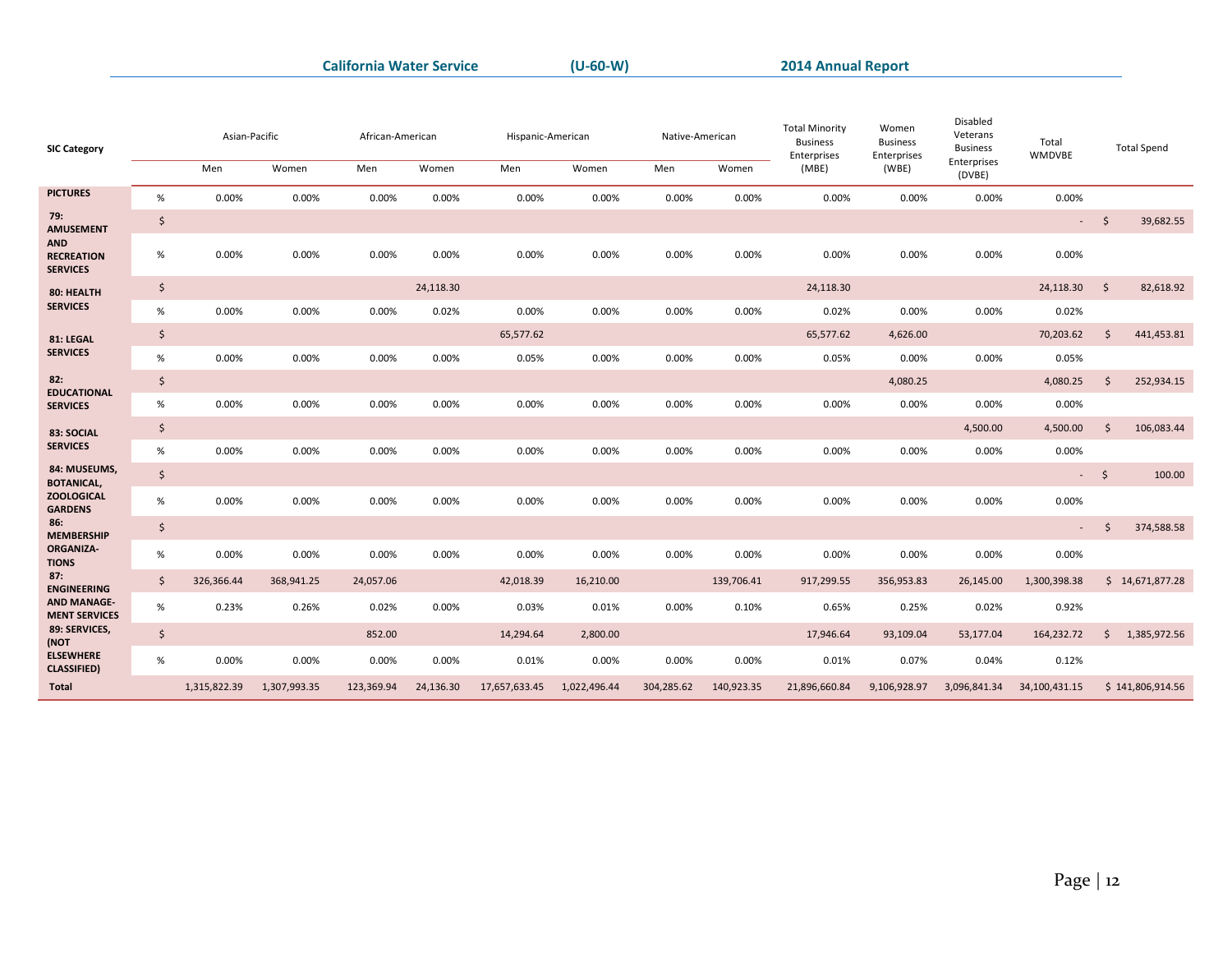| <b>SIC Category</b>                        |         | Asian-Pacific |              | African-American |           | Hispanic-American |              | Native-American |            | <b>Total Minority</b><br><b>Business</b><br>Enterprises | Women<br><b>Business</b><br>Enterprises | Disabled<br>Veterans<br><b>Business</b> | Total<br>WMDVBE | <b>Total Spend</b>  |                  |
|--------------------------------------------|---------|---------------|--------------|------------------|-----------|-------------------|--------------|-----------------|------------|---------------------------------------------------------|-----------------------------------------|-----------------------------------------|-----------------|---------------------|------------------|
|                                            |         | Men           | Women        | Men              | Women     | Men               | Women        | Men             | Women      | (MBE)                                                   | (WBE)                                   | Enterprises<br>(DVBE)                   |                 |                     |                  |
| <b>PICTURES</b>                            | $\%$    | 0.00%         | 0.00%        | 0.00%            | 0.00%     | 0.00%             | 0.00%        | 0.00%           | 0.00%      | 0.00%                                                   | 0.00%                                   | 0.00%                                   | 0.00%           |                     |                  |
| 79:<br><b>AMUSEMENT</b><br><b>AND</b>      | \$      |               |              |                  |           |                   |              |                 |            |                                                         |                                         |                                         | $\sim 100$      | $\ddot{\mathsf{s}}$ | 39,682.55        |
| <b>RECREATION</b><br><b>SERVICES</b>       | $\%$    | 0.00%         | 0.00%        | 0.00%            | 0.00%     | 0.00%             | 0.00%        | 0.00%           | 0.00%      | 0.00%                                                   | 0.00%                                   | 0.00%                                   | 0.00%           |                     |                  |
| 80: HEALTH                                 | \$      |               |              |                  | 24,118.30 |                   |              |                 |            | 24,118.30                                               |                                         |                                         | 24,118.30       | $\mathsf{\hat{S}}$  | 82,618.92        |
| <b>SERVICES</b>                            | $\%$    | 0.00%         | 0.00%        | 0.00%            | 0.02%     | 0.00%             | 0.00%        | 0.00%           | 0.00%      | 0.02%                                                   | 0.00%                                   | 0.00%                                   | 0.02%           |                     |                  |
| 81: LEGAL                                  | \$      |               |              |                  |           | 65,577.62         |              |                 |            | 65,577.62                                               | 4,626.00                                |                                         | 70,203.62       | $\mathsf{\hat{S}}$  | 441,453.81       |
| <b>SERVICES</b>                            | $\%$    | 0.00%         | 0.00%        | 0.00%            | 0.00%     | 0.05%             | 0.00%        | 0.00%           | 0.00%      | 0.05%                                                   | 0.00%                                   | 0.00%                                   | 0.05%           |                     |                  |
| 82:                                        | $\zeta$ |               |              |                  |           |                   |              |                 |            |                                                         | 4,080.25                                |                                         | 4,080.25        | $\mathsf{\hat{S}}$  | 252,934.15       |
| <b>EDUCATIONAL</b><br><b>SERVICES</b>      | $\%$    | 0.00%         | 0.00%        | 0.00%            | 0.00%     | 0.00%             | 0.00%        | 0.00%           | 0.00%      | 0.00%                                                   | 0.00%                                   | 0.00%                                   | 0.00%           |                     |                  |
| 83: SOCIAL                                 | \$      |               |              |                  |           |                   |              |                 |            |                                                         |                                         | 4,500.00                                | 4,500.00        | $\mathsf{\hat{S}}$  | 106,083.44       |
| <b>SERVICES</b>                            | $\%$    | 0.00%         | 0.00%        | 0.00%            | 0.00%     | 0.00%             | 0.00%        | 0.00%           | 0.00%      | 0.00%                                                   | 0.00%                                   | 0.00%                                   | 0.00%           |                     |                  |
| 84: MUSEUMS,<br><b>BOTANICAL,</b>          | $\zeta$ |               |              |                  |           |                   |              |                 |            |                                                         |                                         |                                         |                 | $-5$                | 100.00           |
| <b>ZOOLOGICAL</b><br><b>GARDENS</b>        | $\%$    | 0.00%         | 0.00%        | 0.00%            | 0.00%     | 0.00%             | 0.00%        | 0.00%           | 0.00%      | 0.00%                                                   | 0.00%                                   | 0.00%                                   | 0.00%           |                     |                  |
| 86:<br><b>MEMBERSHIP</b>                   | \$      |               |              |                  |           |                   |              |                 |            |                                                         |                                         |                                         | $\sim$          | <sup>5</sup>        | 374,588.58       |
| <b>ORGANIZA-</b><br><b>TIONS</b>           | $\%$    | 0.00%         | 0.00%        | 0.00%            | 0.00%     | 0.00%             | 0.00%        | 0.00%           | 0.00%      | 0.00%                                                   | 0.00%                                   | 0.00%                                   | 0.00%           |                     |                  |
| 87:<br><b>ENGINEERING</b>                  | $\zeta$ | 326,366.44    | 368,941.25   | 24,057.06        |           | 42,018.39         | 16,210.00    |                 | 139,706.41 | 917,299.55                                              | 356,953.83                              | 26,145.00                               | 1,300,398.38    |                     | \$14,671,877.28  |
| <b>AND MANAGE-</b><br><b>MENT SERVICES</b> | %       | 0.23%         | 0.26%        | 0.02%            | 0.00%     | 0.03%             | 0.01%        | 0.00%           | 0.10%      | 0.65%                                                   | 0.25%                                   | 0.02%                                   | 0.92%           |                     |                  |
| 89: SERVICES,<br>(NOT                      | \$      |               |              | 852.00           |           | 14,294.64         | 2,800.00     |                 |            | 17,946.64                                               | 93,109.04                               | 53,177.04                               | 164,232.72      | \$                  | 1,385,972.56     |
| <b>ELSEWHERE</b><br><b>CLASSIFIED)</b>     | $\%$    | 0.00%         | 0.00%        | 0.00%            | 0.00%     | 0.01%             | 0.00%        | 0.00%           | 0.00%      | 0.01%                                                   | 0.07%                                   | 0.04%                                   | 0.12%           |                     |                  |
| <b>Total</b>                               |         | 1,315,822.39  | 1,307,993.35 | 123,369.94       | 24,136.30 | 17,657,633.45     | 1,022,496.44 | 304,285.62      | 140,923.35 | 21,896,660.84                                           | 9,106,928.97                            | 3,096,841.34                            | 34,100,431.15   |                     | \$141,806,914.56 |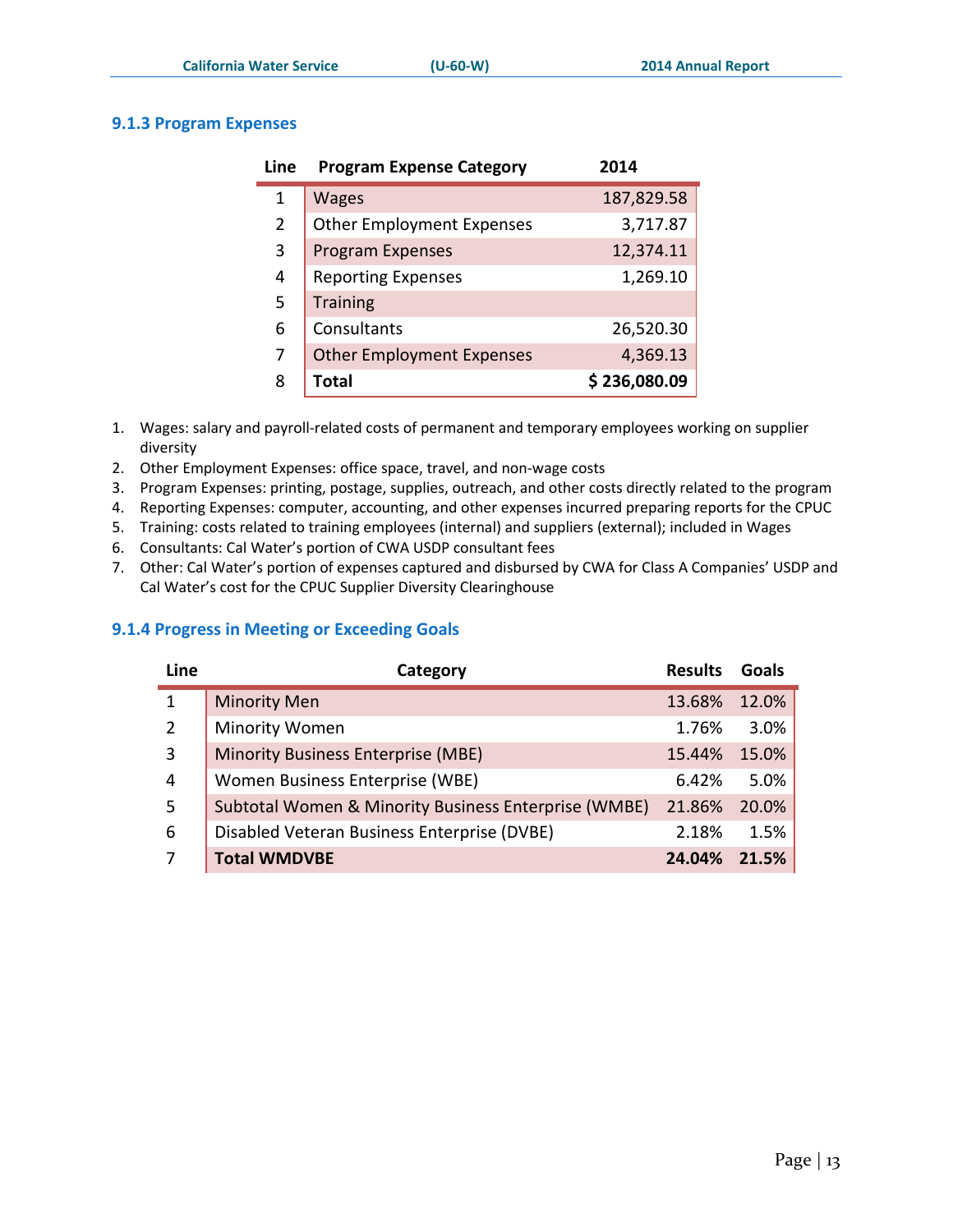r.

#### <span id="page-13-0"></span>**9.1.3 Program Expenses**

| Line           | <b>Program Expense Category</b>  | 2014         |
|----------------|----------------------------------|--------------|
| 1              | <b>Wages</b>                     | 187,829.58   |
| $\overline{2}$ | <b>Other Employment Expenses</b> | 3,717.87     |
| 3              | <b>Program Expenses</b>          | 12,374.11    |
| 4              | <b>Reporting Expenses</b>        | 1,269.10     |
| 5              | <b>Training</b>                  |              |
| 6              | Consultants                      | 26,520.30    |
| 7              | <b>Other Employment Expenses</b> | 4,369.13     |
| 8              | <b>Total</b>                     | \$236,080.09 |

1. Wages: salary and payroll-related costs of permanent and temporary employees working on supplier diversity

- 2. Other Employment Expenses: office space, travel, and non-wage costs
- 3. Program Expenses: printing, postage, supplies, outreach, and other costs directly related to the program
- 4. Reporting Expenses: computer, accounting, and other expenses incurred preparing reports for the CPUC
- 5. Training: costs related to training employees (internal) and suppliers (external); included in Wages
- 6. Consultants: Cal Water's portion of CWA USDP consultant fees
- 7. Other: Cal Water's portion of expenses captured and disbursed by CWA for Class A Companies' USDP and Cal Water's cost for the CPUC Supplier Diversity Clearinghouse

#### <span id="page-13-1"></span>**9.1.4 Progress in Meeting or Exceeding Goals**

| Line | Category                                                        | <b>Results</b> | <b>Goals</b> |
|------|-----------------------------------------------------------------|----------------|--------------|
|      | <b>Minority Men</b>                                             | 13.68%         | 12.0%        |
| 2    | <b>Minority Women</b>                                           | 1.76%          | 3.0%         |
| 3    | <b>Minority Business Enterprise (MBE)</b>                       | 15.44%         | 15.0%        |
| 4    | Women Business Enterprise (WBE)                                 | 6.42%          | 5.0%         |
| 5    | <b>Subtotal Women &amp; Minority Business Enterprise (WMBE)</b> | 21.86%         | 20.0%        |
| 6    | Disabled Veteran Business Enterprise (DVBE)                     | 2.18%          | 1.5%         |
|      | <b>Total WMDVBE</b>                                             | 24.04%         | 21.5%        |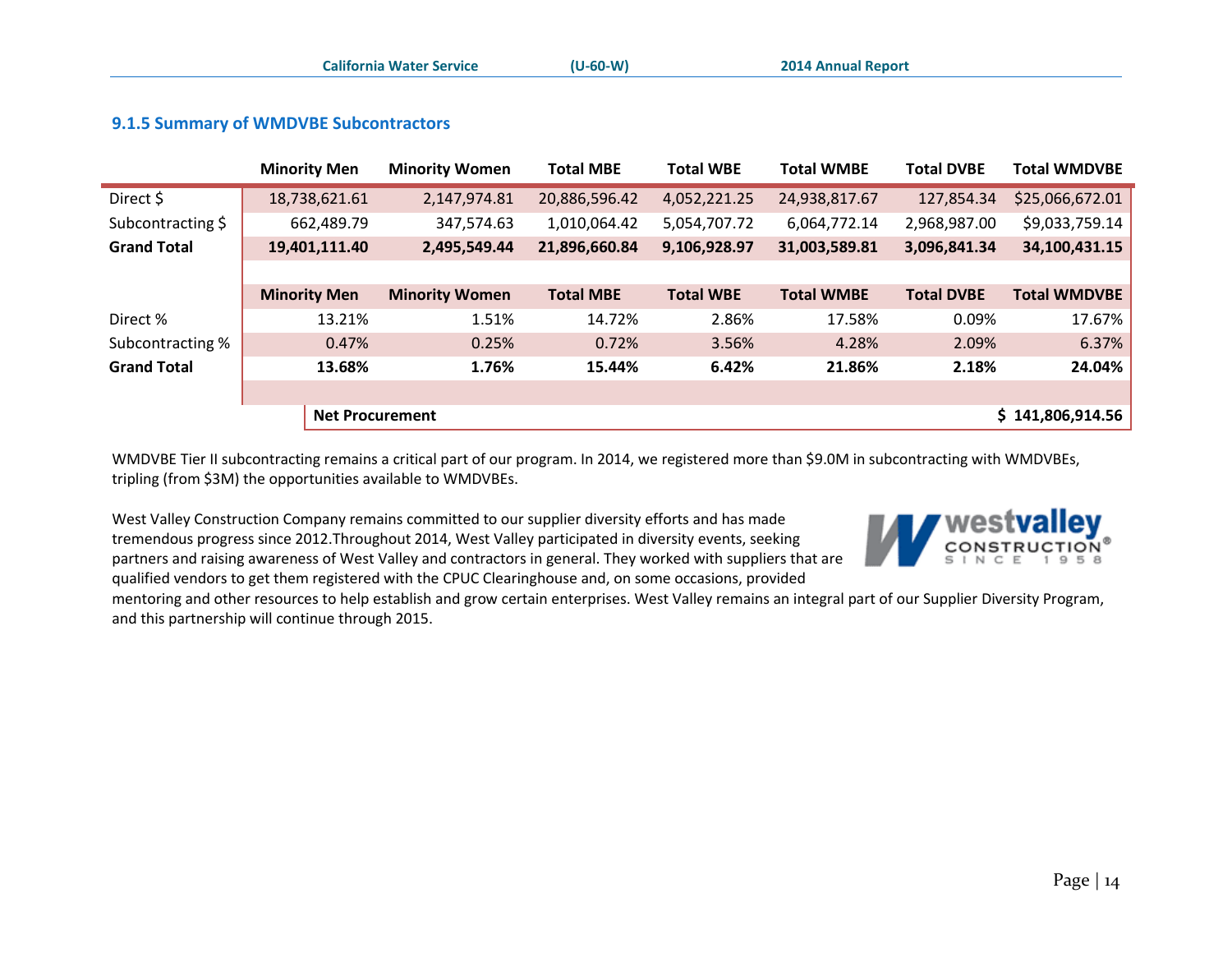|                    | <b>Minority Men</b>    | <b>Minority Women</b> | <b>Total MBE</b> | <b>Total WBE</b> | <b>Total WMBE</b> | <b>Total DVBE</b> | <b>Total WMDVBE</b> |
|--------------------|------------------------|-----------------------|------------------|------------------|-------------------|-------------------|---------------------|
| Direct \$          | 18,738,621.61          | 2,147,974.81          | 20,886,596.42    | 4,052,221.25     | 24,938,817.67     | 127,854.34        | \$25,066,672.01     |
| Subcontracting \$  | 662,489.79             | 347,574.63            | 1,010,064.42     | 5,054,707.72     | 6,064,772.14      | 2,968,987.00      | \$9,033,759.14      |
| <b>Grand Total</b> | 19,401,111.40          | 2,495,549.44          | 21,896,660.84    | 9,106,928.97     | 31,003,589.81     | 3,096,841.34      | 34,100,431.15       |
|                    |                        |                       |                  |                  |                   |                   |                     |
|                    | <b>Minority Men</b>    | <b>Minority Women</b> | <b>Total MBE</b> | <b>Total WBE</b> | <b>Total WMBE</b> | <b>Total DVBE</b> | <b>Total WMDVBE</b> |
| Direct %           | 13.21%                 | 1.51%                 | 14.72%           | 2.86%            | 17.58%            | 0.09%             | 17.67%              |
| Subcontracting %   | 0.47%                  | 0.25%                 | 0.72%            | 3.56%            | 4.28%             | 2.09%             | 6.37%               |
| <b>Grand Total</b> | 13.68%                 | 1.76%                 | 15.44%           | 6.42%            | 21.86%            | 2.18%             | 24.04%              |
|                    |                        |                       |                  |                  |                   |                   |                     |
|                    | <b>Net Procurement</b> |                       |                  |                  |                   |                   | \$141,806,914.56    |

#### **9.1.5 Summary of WMDVBE Subcontractors**

<span id="page-14-0"></span>WMDVBE Tier II subcontracting remains a critical part of our program. In 2014, we registered more than \$9.0M in subcontracting with WMDVBEs, tripling (from \$3M) the opportunities available to WMDVBEs.

West Valley Construction Company remains committed to our supplier diversity efforts and has made tremendous progress since 2012.Throughout 2014, West Valley participated in diversity events, seeking partners and raising awareness of West Valley and contractors in general. They worked with suppliers that are qualified vendors to get them registered with the CPUC Clearinghouse and, on some occasions, provided



mentoring and other resources to help establish and grow certain enterprises. West Valley remains an integral part of our Supplier Diversity Program, and this partnership will continue through 2015.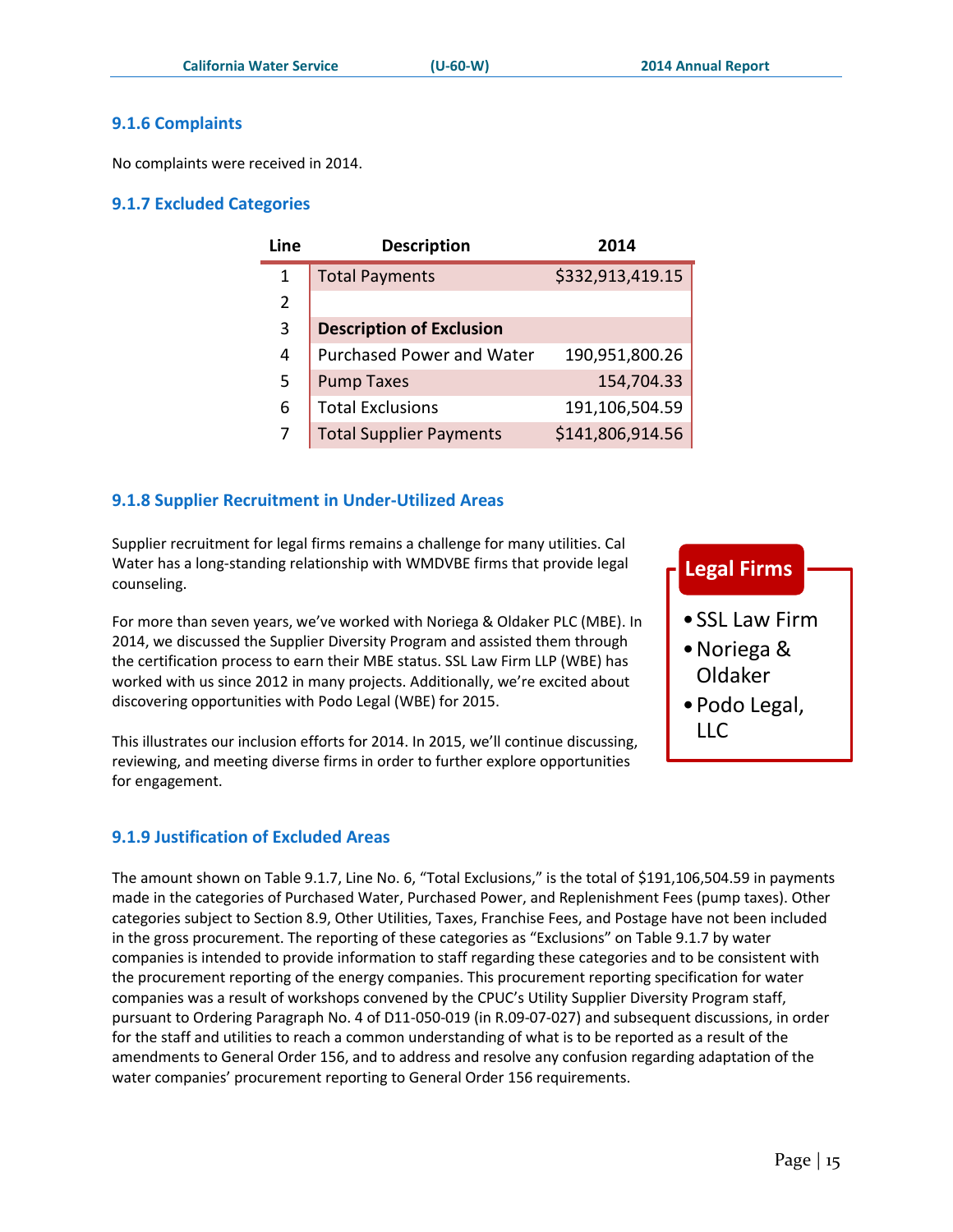#### <span id="page-15-0"></span>**9.1.6 Complaints**

No complaints were received in 2014.

#### <span id="page-15-1"></span>**9.1.7 Excluded Categories**

| Line | <b>Description</b>               | 2014             |
|------|----------------------------------|------------------|
| 1    | <b>Total Payments</b>            | \$332,913,419.15 |
| 2    |                                  |                  |
| 3    | <b>Description of Exclusion</b>  |                  |
| 4    | <b>Purchased Power and Water</b> | 190,951,800.26   |
| 5    | <b>Pump Taxes</b>                | 154,704.33       |
| 6    | <b>Total Exclusions</b>          | 191,106,504.59   |
|      | <b>Total Supplier Payments</b>   | \$141,806,914.56 |

#### <span id="page-15-2"></span>**9.1.8 Supplier Recruitment in Under-Utilized Areas**

Supplier recruitment for legal firms remains a challenge for many utilities. Cal Water has a long-standing relationship with WMDVBE firms that provide legal counseling.

For more than seven years, we've worked with Noriega & Oldaker PLC (MBE). I 2014, we discussed the Supplier Diversity Program and assisted them through the certification process to earn their MBE status. SSL Law Firm LLP (WBE) has worked with us since 2012 in many projects. Additionally, we're excited about discovering opportunities with Podo Legal (WBE) for 2015.

This illustrates our inclusion efforts for 2014. In 2015, we'll continue discussing, reviewing, and meeting diverse firms in order to further explore opportunities for engagement.

#### <span id="page-15-3"></span>**9.1.9 Justification of Excluded Areas**

The amount shown on Table 9.1.7, Line No. 6, "Total Exclusions," is the total of \$191,106,504.59 in payments made in the categories of Purchased Water, Purchased Power, and Replenishment Fees (pump taxes). Other categories subject to Section 8.9, Other Utilities, Taxes, Franchise Fees, and Postage have not been included in the gross procurement. The reporting of these categories as "Exclusions" on Table 9.1.7 by water companies is intended to provide information to staff regarding these categories and to be consistent with the procurement reporting of the energy companies. This procurement reporting specification for water companies was a result of workshops convened by the CPUC's Utility Supplier Diversity Program staff, pursuant to Ordering Paragraph No. 4 of D11-050-019 (in R.09-07-027) and subsequent discussions, in order for the staff and utilities to reach a common understanding of what is to be reported as a result of the amendments to General Order 156, and to address and resolve any confusion regarding adaptation of the water companies' procurement reporting to General Order 156 requirements.

| <b>Legal Firms</b>                               |
|--------------------------------------------------|
| $\bullet$ SSL Law Firm<br>• Noriega &<br>Oldaker |
| • Podo Legal,<br>LLC                             |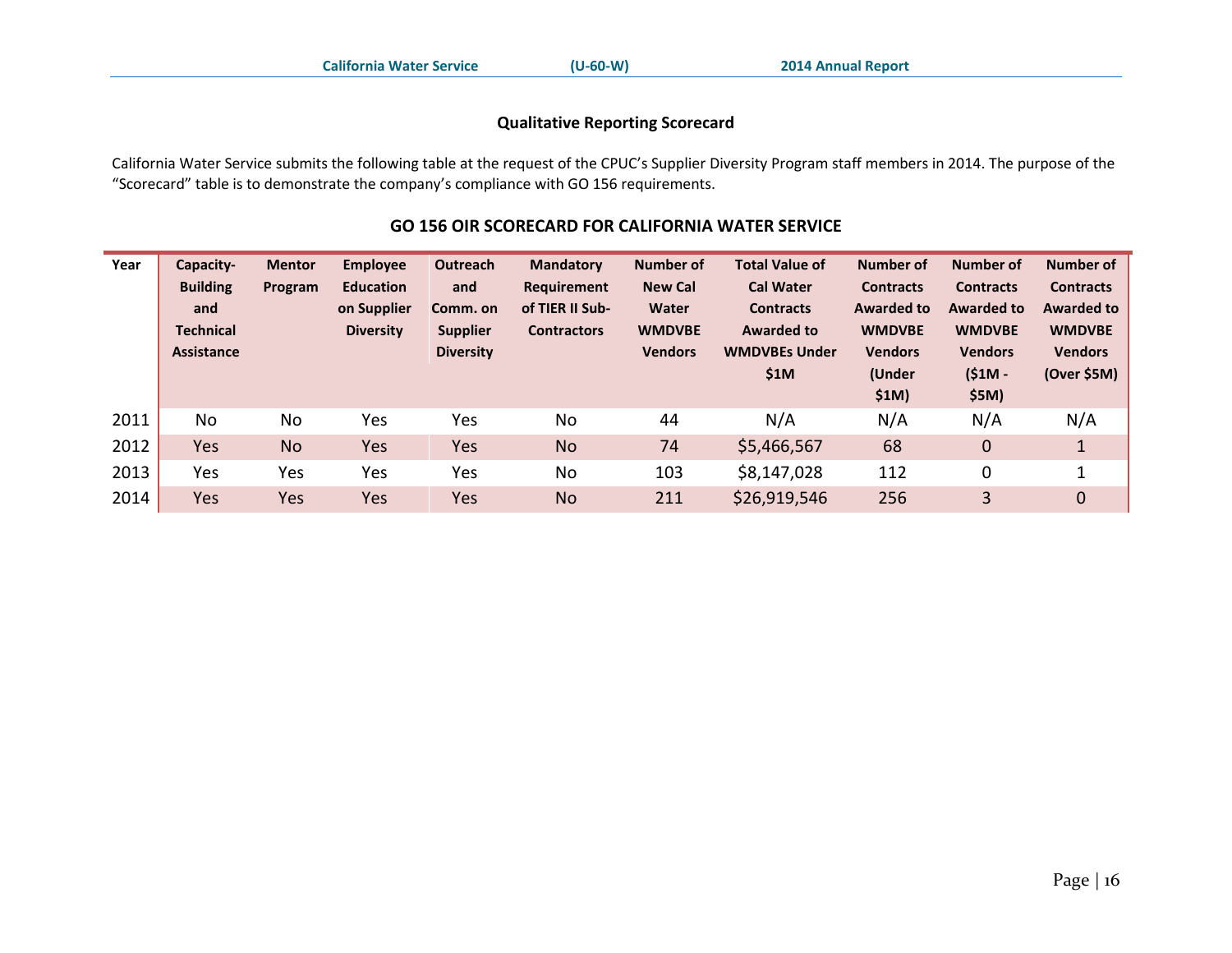#### **Qualitative Reporting Scorecard**

California Water Service submits the following table at the request of the CPUC's Supplier Diversity Program staff members in 2014. The purpose of the "Scorecard" table is to demonstrate the company's compliance with GO 156 requirements.

#### **GO 156 OIR SCORECARD FOR CALIFORNIA WATER SERVICE**

<span id="page-16-0"></span>

| Year | Capacity-<br><b>Building</b><br>and<br><b>Technical</b><br><b>Assistance</b> | <b>Mentor</b><br>Program | <b>Employee</b><br><b>Education</b><br>on Supplier<br><b>Diversity</b> | Outreach<br>and<br>Comm. on<br><b>Supplier</b><br><b>Diversity</b> | <b>Mandatory</b><br><b>Requirement</b><br>of TIER II Sub-<br><b>Contractors</b> | <b>Number of</b><br><b>New Cal</b><br>Water<br><b>WMDVBE</b><br><b>Vendors</b> | <b>Total Value of</b><br><b>Cal Water</b><br><b>Contracts</b><br><b>Awarded to</b><br><b>WMDVBEs Under</b><br>\$1M | Number of<br><b>Contracts</b><br><b>Awarded to</b><br><b>WMDVBE</b><br><b>Vendors</b><br>(Under<br>\$1M) | <b>Number of</b><br><b>Contracts</b><br><b>Awarded to</b><br><b>WMDVBE</b><br><b>Vendors</b><br>$(S1M -$<br>\$5M) | Number of<br><b>Contracts</b><br><b>Awarded to</b><br><b>WMDVBE</b><br><b>Vendors</b><br>(Over \$5M) |
|------|------------------------------------------------------------------------------|--------------------------|------------------------------------------------------------------------|--------------------------------------------------------------------|---------------------------------------------------------------------------------|--------------------------------------------------------------------------------|--------------------------------------------------------------------------------------------------------------------|----------------------------------------------------------------------------------------------------------|-------------------------------------------------------------------------------------------------------------------|------------------------------------------------------------------------------------------------------|
| 2011 | <b>No</b>                                                                    | No                       | Yes                                                                    | Yes                                                                | <b>No</b>                                                                       | 44                                                                             | N/A                                                                                                                | N/A                                                                                                      | N/A                                                                                                               | N/A                                                                                                  |
| 2012 | Yes                                                                          | <b>No</b>                | Yes                                                                    | Yes                                                                | <b>No</b>                                                                       | 74                                                                             | \$5,466,567                                                                                                        | 68                                                                                                       | 0                                                                                                                 | 1                                                                                                    |
| 2013 | Yes                                                                          | Yes                      | Yes                                                                    | Yes                                                                | No                                                                              | 103                                                                            | \$8,147,028                                                                                                        | 112                                                                                                      | 0                                                                                                                 |                                                                                                      |
| 2014 | Yes                                                                          | Yes                      | Yes                                                                    | Yes                                                                | <b>No</b>                                                                       | 211                                                                            | \$26,919,546                                                                                                       | 256                                                                                                      | 3                                                                                                                 | $\overline{0}$                                                                                       |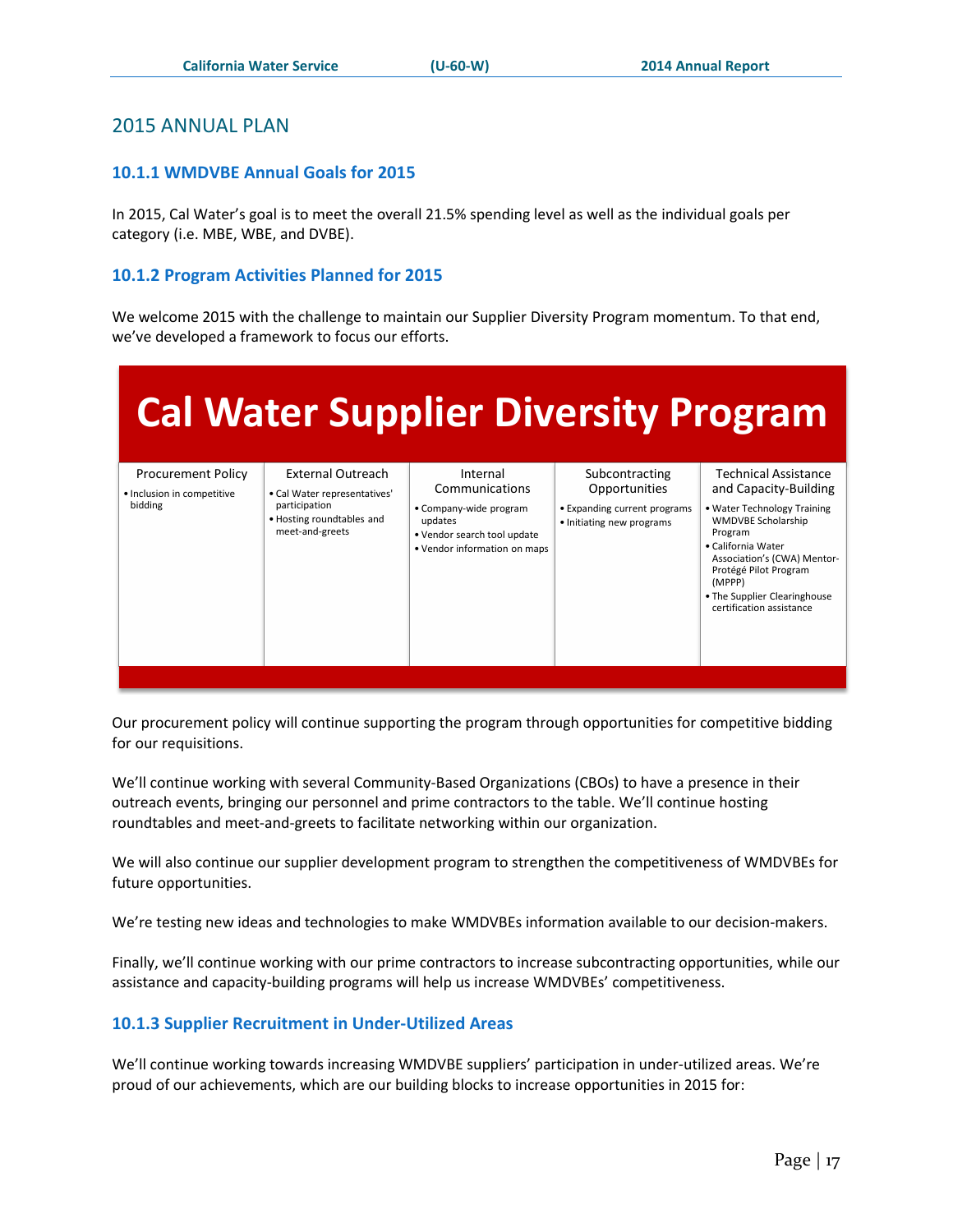#### <span id="page-17-0"></span>2015 ANNUAL PLAN

#### <span id="page-17-1"></span>**10.1.1 WMDVBE Annual Goals for 2015**

In 2015, Cal Water's goal is to meet the overall 21.5% spending level as well as the individual goals per category (i.e. MBE, WBE, and DVBE).

#### <span id="page-17-2"></span>**10.1.2 Program Activities Planned for 2015**

We welcome 2015 with the challenge to maintain our Supplier Diversity Program momentum. To that end, we've developed a framework to focus our efforts.

| <b>Cal Water Supplier Diversity Program</b>             |                                                               |                                                                                                  |                                                           |                                                                                                                                                                                                                         |  |  |  |  |
|---------------------------------------------------------|---------------------------------------------------------------|--------------------------------------------------------------------------------------------------|-----------------------------------------------------------|-------------------------------------------------------------------------------------------------------------------------------------------------------------------------------------------------------------------------|--|--|--|--|
| <b>Procurement Policy</b><br>· Inclusion in competitive | <b>External Outreach</b><br>• Cal Water representatives'      | Internal<br>Communications                                                                       | Subcontracting<br>Opportunities                           | <b>Technical Assistance</b><br>and Capacity-Building                                                                                                                                                                    |  |  |  |  |
| bidding                                                 | participation<br>• Hosting roundtables and<br>meet-and-greets | • Company-wide program<br>updates<br>. Vendor search tool update<br>• Vendor information on maps | • Expanding current programs<br>• Initiating new programs | . Water Technology Training<br><b>WMDVBE Scholarship</b><br>Program<br>• California Water<br>Association's (CWA) Mentor-<br>Protégé Pilot Program<br>(MPPP)<br>• The Supplier Clearinghouse<br>certification assistance |  |  |  |  |

Our procurement policy will continue supporting the program through opportunities for competitive bidding for our requisitions.

We'll continue working with several Community-Based Organizations (CBOs) to have a presence in their outreach events, bringing our personnel and prime contractors to the table. We'll continue hosting roundtables and meet-and-greets to facilitate networking within our organization.

We will also continue our supplier development program to strengthen the competitiveness of WMDVBEs for future opportunities.

We're testing new ideas and technologies to make WMDVBEs information available to our decision-makers.

Finally, we'll continue working with our prime contractors to increase subcontracting opportunities, while our assistance and capacity-building programs will help us increase WMDVBEs' competitiveness.

#### <span id="page-17-3"></span>**10.1.3 Supplier Recruitment in Under-Utilized Areas**

We'll continue working towards increasing WMDVBE suppliers' participation in under-utilized areas. We're proud of our achievements, which are our building blocks to increase opportunities in 2015 for: